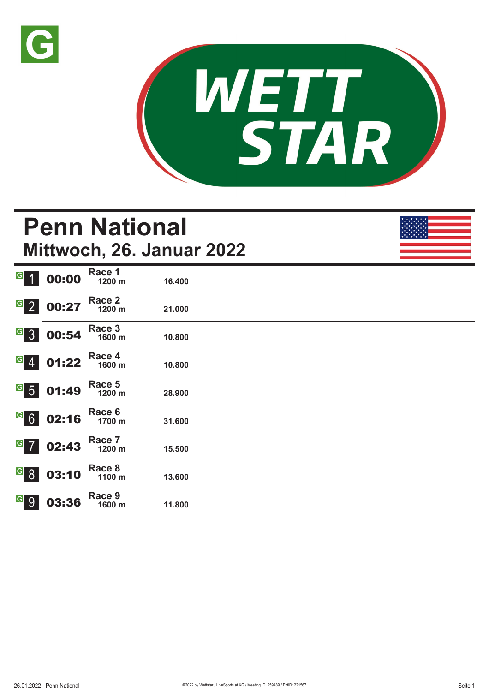



# **Penn National Mittwoch, 26. Januar 2022**

| $\overline{G}$<br>$\overline{1}$  | 00:00 | Race 1<br>1200 m | 16.400 |
|-----------------------------------|-------|------------------|--------|
| $\overline{G}$ 2                  | 00:27 | Race 2<br>1200 m | 21.000 |
| G <sub>3</sub>                    | 00:54 | Race 3<br>1600 m | 10.800 |
| $\overline{G}$<br>$\overline{4}$  | 01:22 | Race 4<br>1600 m | 10.800 |
| $\overline{G}$ 5                  | 01:49 | Race 5<br>1200 m | 28.900 |
| G6                                | 02:16 | Race 6<br>1700 m | 31.600 |
| $G$ 7                             | 02:43 | Race 7<br>1200 m | 15.500 |
| $\vert G \vert$<br>8 <sup>°</sup> | 03:10 | Race 8<br>1100 m | 13.600 |
| $\vert G \vert$<br>9              | 03:36 | Race 9<br>1600 m | 11.800 |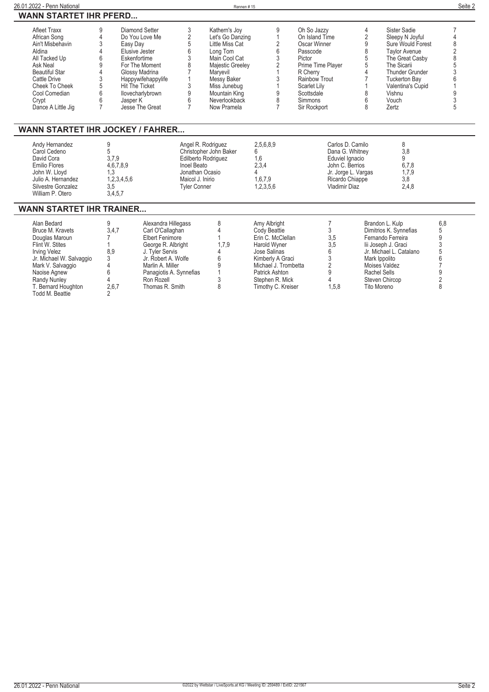| 26.01.2022 - Penn National                                                                                                                                                                                             |                                                                                                                                                          |                                                                                                                                                                                                                   |                                                                                                                                                  | Rennen#15                                                                                                                                                                                         |                                                                                                                                                                                                 |                                                                                                                                                                                              |                                                                                                                                      |                                                             |                                                                                                                                                                                                            | Seite 2                                           |
|------------------------------------------------------------------------------------------------------------------------------------------------------------------------------------------------------------------------|----------------------------------------------------------------------------------------------------------------------------------------------------------|-------------------------------------------------------------------------------------------------------------------------------------------------------------------------------------------------------------------|--------------------------------------------------------------------------------------------------------------------------------------------------|---------------------------------------------------------------------------------------------------------------------------------------------------------------------------------------------------|-------------------------------------------------------------------------------------------------------------------------------------------------------------------------------------------------|----------------------------------------------------------------------------------------------------------------------------------------------------------------------------------------------|--------------------------------------------------------------------------------------------------------------------------------------|-------------------------------------------------------------|------------------------------------------------------------------------------------------------------------------------------------------------------------------------------------------------------------|---------------------------------------------------|
| <b>WANN STARTET IHR PFERD</b>                                                                                                                                                                                          |                                                                                                                                                          |                                                                                                                                                                                                                   |                                                                                                                                                  |                                                                                                                                                                                                   |                                                                                                                                                                                                 |                                                                                                                                                                                              |                                                                                                                                      |                                                             |                                                                                                                                                                                                            |                                                   |
| <b>Afleet Traxx</b><br>African Song<br>Ain't Misbehavin<br>Aldina<br>All Tacked Up<br>Ask Neal<br><b>Beautiful Star</b><br>Cattle Drive<br>Cheek To Cheek<br>Cool Comedian<br>Crypt<br>Dance A Little Jig              | 9<br>4<br>3<br>Easy Day<br>$\Delta$<br>Elusive Jester<br>6<br>Eskenfortime<br>9<br>4<br>3<br>5<br>Hit The Ticket<br>6<br>6<br>Jasper K<br>$\overline{7}$ | Diamond Setter<br>Do You Love Me<br>For The Moment<br>Glossy Madrina<br>Happywifehappylife<br>llovecharlybrown<br>Jesse The Great                                                                                 | 3<br>$\overline{c}$<br>5<br>6<br>3<br>8<br>$\overline{7}$<br>3<br>9<br>6<br>$\overline{7}$                                                       | Kathern's Joy<br>Let's Go Danzing<br>Little Miss Cat<br>Long Tom<br>Main Cool Cat<br>Majestic Greeley<br>Maryevil<br>Messy Baker<br>Miss Junebug<br>Mountain King<br>Neverlookback<br>Now Pramela | 9<br>1<br>2<br>6<br>3<br>2<br>1<br>3<br>1<br>9<br>8<br>7                                                                                                                                        | Oh So Jazzy<br>On Island Time<br>Oscar Winner<br>Passcode<br>Pictor<br>Prime Time Plaver<br>R Cherry<br>Rainbow Trout<br><b>Scarlet Lily</b><br>Scottsdale<br><b>Simmons</b><br>Sir Rockport |                                                                                                                                      | 4<br>$\overline{2}$<br>9<br>8<br>5<br>5<br>4<br>8<br>6<br>8 | Sister Sadie<br>Sleepy N Joyful<br>Sure Would Forest<br><b>Taylor Avenue</b><br>The Great Casby<br>The Sicarii<br>Thunder Grunder<br><b>Tuckerton Bay</b><br>Valentina's Cupid<br>Vishnu<br>Vouch<br>Zertz | 7<br>4<br>8<br>$\overline{2}$<br>8<br>5<br>9<br>5 |
| <b>WANN STARTET IHR JOCKEY / FAHRER</b>                                                                                                                                                                                |                                                                                                                                                          |                                                                                                                                                                                                                   |                                                                                                                                                  |                                                                                                                                                                                                   |                                                                                                                                                                                                 |                                                                                                                                                                                              |                                                                                                                                      |                                                             |                                                                                                                                                                                                            |                                                   |
| Andy Hernandez<br>Carol Cedeno<br>David Cora<br>Emilio Flores<br>John W. Lloyd<br>Julio A. Hernandez<br>Silvestre Gonzalez<br>William P. Otero                                                                         | 9<br>5<br>3,7,9<br>4,6,7,8,9<br>1,3<br>1,2,3,4,5,6<br>3,5<br>3,4,5,7                                                                                     |                                                                                                                                                                                                                   | Angel R. Rodriguez<br>Christopher John Baker<br>Edilberto Rodriguez<br>Inoel Beato<br>Jonathan Ocasio<br>Maicol J. Inirio<br><b>Tyler Conner</b> |                                                                                                                                                                                                   | 2,5,6,8,9<br>6<br>1,6<br>2,3,4<br>4<br>1,6,7,9<br>1,2,3,5,6                                                                                                                                     |                                                                                                                                                                                              | Carlos D. Camilo<br>Dana G. Whitney<br>Eduviel Ignacio<br>John C. Berrios<br>Jr. Jorge L. Vargas<br>Ricardo Chiappe<br>Vladimir Diaz |                                                             | 8<br>3.8<br>9<br>6.7.8<br>1,7,9<br>3,8<br>2,4,8                                                                                                                                                            |                                                   |
| <b>WANN STARTET IHR TRAINER</b>                                                                                                                                                                                        |                                                                                                                                                          |                                                                                                                                                                                                                   |                                                                                                                                                  |                                                                                                                                                                                                   |                                                                                                                                                                                                 |                                                                                                                                                                                              |                                                                                                                                      |                                                             |                                                                                                                                                                                                            |                                                   |
| Alan Bedard<br>Bruce M. Kravets<br>Douglas Maroun<br>Flint W. Stites<br><b>Irving Velez</b><br>Jr. Michael W. Salvaggio<br>Mark V. Salvaggio<br>Naoise Agnew<br>Randy Nunley<br>T. Bernard Houghton<br>Todd M. Beattie | 9<br>3.4.7<br>$\overline{7}$<br>8.9<br>3<br>4<br>6<br>$\Delta$<br>2,6,7<br>$\overline{2}$                                                                | Alexandra Hillegass<br>Carl O'Callaghan<br><b>Elbert Fenimore</b><br>George R. Albright<br>J. Tyler Servis<br>Jr. Robert A. Wolfe<br>Marlin A. Miller<br>Panagiotis A. Synnefias<br>Ron Rozell<br>Thomas R. Smith |                                                                                                                                                  | 8<br>4<br>1.7.9<br>4<br>6<br>9<br>3<br>8                                                                                                                                                          | Amy Albright<br>Cody Beattie<br>Erin C. McClellan<br>Harold Wyner<br>Jose Salinas<br>Kimberly A Graci<br>Michael J. Trombetta<br><b>Patrick Ashton</b><br>Stephen R. Mick<br>Timothy C. Kreiser |                                                                                                                                                                                              | 7<br>3<br>3,5<br>3,5<br>6<br>3<br>2<br>9<br>4<br>1.5.8                                                                               | Mark Ippolito<br>Rachel Sells<br>Tito Moreno                | Brandon L. Kulp<br>Dimitrios K. Synnefias<br>Fernando Ferreira<br>lii Joseph J. Graci<br>Jr. Michael L. Catalano<br>Moises Valdez<br>Steven Chircop                                                        | 6,8<br>5<br>9<br>3<br>5<br>6<br>9<br>2<br>8       |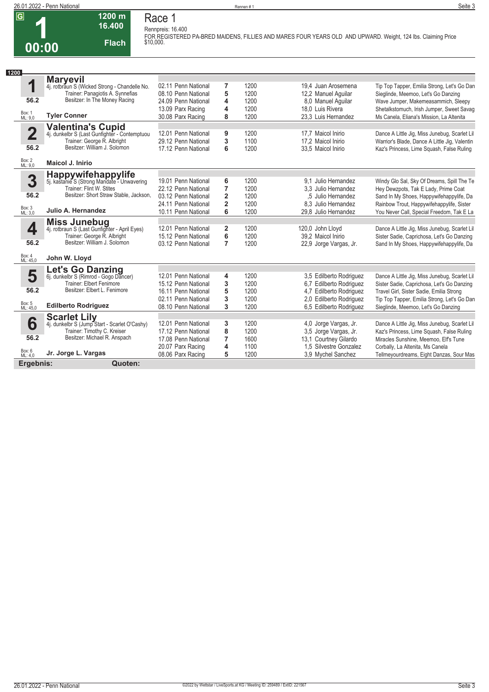

#### **1200 m 16.400 Flach Race 1 Rennpreis: 16.400**

**FOR REGISTERED PA-BRED MAIDENS, FILLIES AND MARES FOUR YEARS OLD AND UPWARD. Weight, 124 lbs. Claiming Price \$10,000.** 

| 1200                    |                                                                                                   |                     |                |      |                         |                                               |
|-------------------------|---------------------------------------------------------------------------------------------------|---------------------|----------------|------|-------------------------|-----------------------------------------------|
|                         | <b>Maryevil</b>                                                                                   |                     |                |      |                         |                                               |
| 1                       | 4j. rotbraun S (Wicked Strong - Chandelle No.                                                     | 02.11 Penn National | 7              | 1200 | 19.4 Juan Arosemena     | Tip Top Tapper, Emilia Strong, Let's Go Dan   |
|                         | Trainer: Panagiotis A. Synnefias                                                                  | 08.10 Penn National | 5              | 1200 | 12,2 Manuel Aquilar     | Sieglinde, Meemoo, Let's Go Danzing           |
| 56.2                    | Besitzer: In The Money Racing                                                                     | 24.09 Penn National | 4              | 1200 | 8.0 Manuel Aquilar      | Wave Jumper, Makemeasammich, Sleepy           |
|                         |                                                                                                   | 13.09 Parx Racing   | 4              | 1200 | 18.0 Luis Rivera        | Shetalkstomuch, Irish Jumper, Sweet Savag     |
| Box: 1<br>ML: 9,0       | <b>Tyler Conner</b>                                                                               | 30.08 Parx Racing   | 8              | 1200 | 23.3 Luis Hernandez     | Ms Canela, Eliana's Mission, La Altenita      |
|                         | Valentina's Cupid<br>4j. dunkelbr S (Last Gunfighter - Contemptuou<br>Trainer: George R. Albright |                     |                |      |                         |                                               |
| $\overline{\mathbf{2}}$ |                                                                                                   | 12.01 Penn National | 9              | 1200 | 17.7 Maicol Inirio      | Dance A Little Jig, Miss Junebug, Scarlet Lil |
|                         |                                                                                                   | 29.12 Penn National | 3              | 1100 | 17.2 Maicol Inirio      | Warrior's Blade, Dance A Little Jig, Valentin |
| 56.2                    | Besitzer: William J. Solomon                                                                      | 17.12 Penn National | 6              | 1200 | 33,5 Maicol Inirio      | Kaz's Princess, Lime Squash, False Ruling     |
| Box: 2<br>ML: 9,0       | <b>Maicol J. Inirio</b>                                                                           |                     |                |      |                         |                                               |
|                         |                                                                                                   |                     |                |      |                         |                                               |
| 3                       | Happywifehappylife<br>5j. kastanie S (Strong Mandate - Unwavering                                 | 19.01 Penn National | 6              | 1200 | 9.1 Julio Hernandez     | Windy Glo Sal, Sky Of Dreams, Spill The Te    |
|                         | Trainer: Flint W. Stites                                                                          | 22.12 Penn National | $\overline{7}$ | 1200 | 3.3 Julio Hernandez     | Hey Dewzpots, Tak E Lady, Prime Coat          |
| 56.2                    | Besitzer: Short Straw Stable, Jackson,                                                            | 03.12 Penn National | $\overline{2}$ | 1200 | .5 Julio Hernandez      | Sand In My Shoes, Happywifehappylife, Da      |
|                         |                                                                                                   | 24.11 Penn National | $\overline{2}$ | 1200 | 8.3 Julio Hernandez     | Rainbow Trout, Happywifehappylife, Sister     |
| Box: 3<br>ML: 3,0       | Julio A. Hernandez                                                                                | 10.11 Penn National | 6              | 1200 | 29.8 Julio Hernandez    | You Never Call, Special Freedom, Tak E La     |
|                         | <b>Miss Junebug</b>                                                                               |                     |                |      |                         |                                               |
| 4                       | 4j. rotbraun S (Last Gunfighter - April Eyes)                                                     | 12.01 Penn National | $\mathbf{2}$   | 1200 | 120,0 John Lloyd        | Dance A Little Jig, Miss Junebug, Scarlet Lil |
|                         | Trainer: George R. Albright                                                                       | 15.12 Penn National | 6              | 1200 | 39.2 Maicol Inirio      | Sister Sadie, Caprichosa, Let's Go Danzing    |
| 56.2                    | Besitzer: William J. Solomon                                                                      | 03.12 Penn National | $\overline{7}$ | 1200 | 22,9 Jorge Vargas, Jr.  | Sand In My Shoes, Happywifehappylife, Da      |
| Box: 4<br>ML: 45,0      | John W. Lloyd                                                                                     |                     |                |      |                         |                                               |
|                         | <b>Let's Go Danzing</b>                                                                           |                     |                |      |                         |                                               |
| 5                       | 6j. dunkelbr S (Rimrod - Gogo Dancer)                                                             | 12.01 Penn National | 4              | 1200 | 3,5 Edilberto Rodriguez | Dance A Little Jig, Miss Junebug, Scarlet Lil |
|                         | Trainer: Elbert Fenimore                                                                          | 15.12 Penn National | 3              | 1200 | 6.7 Edilberto Rodriguez | Sister Sadie, Caprichosa, Let's Go Danzing    |
| 56.2                    | Besitzer: Elbert L. Fenimore                                                                      | 16.11 Penn National | 5              | 1200 | 4.7 Edilberto Rodriguez | Travel Girl, Sister Sadie, Emilia Strong      |
|                         |                                                                                                   | 02.11 Penn National | 3              | 1200 | 2.0 Edilberto Rodriguez | Tip Top Tapper, Emilia Strong, Let's Go Dan   |
| Box: 5<br>ML: 45,0      | <b>Edilberto Rodriguez</b>                                                                        | 08.10 Penn National | 3              | 1200 | 6,5 Edilberto Rodriguez | Sieglinde, Meemoo, Let's Go Danzing           |
|                         | <b>Scarlet Lily</b>                                                                               |                     |                |      |                         |                                               |
| 6                       | 4j. dunkelbr S (Jump Start - Scarlet O'Cashy)                                                     | 12.01 Penn National | 3              | 1200 | 4.0 Jorge Vargas, Jr.   | Dance A Little Jig, Miss Junebug, Scarlet Lil |
|                         | Trainer: Timothy C. Kreiser                                                                       | 17.12 Penn National | 8              | 1200 | 3,5 Jorge Vargas, Jr.   | Kaz's Princess, Lime Squash, False Ruling     |
| 56.2                    | Besitzer: Michael R. Anspach                                                                      | 17.08 Penn National | $\overline{7}$ | 1600 | 13,1 Courtney Gilardo   | Miracles Sunshine, Meemoo, Elf's Tune         |
|                         |                                                                                                   | 20.07 Parx Racing   | 4              | 1100 | 1.5 Silvestre Gonzalez  | Corbally, La Altenita, Ms Canela              |
| Box: 6<br>ML: 4,0       | Jr. Jorge L. Vargas                                                                               | 08.06 Parx Racing   | 5              | 1200 | 3.9 Mychel Sanchez      | Tellmeyourdreams, Eight Danzas, Sour Mas      |
| Ergebnis:               | Quoten:                                                                                           |                     |                |      |                         |                                               |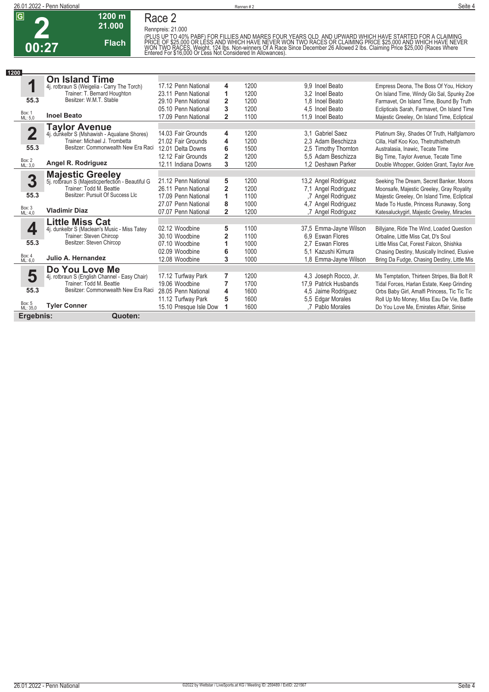

## **Race 2**

**Rennpreis: 21.000**

**1200 m 21.000 Flach**

(PLUS UP TO 40% PABF) FOR FILLIES AND MARES FOUR YEARS OLD. AND UPWARD WHICH HAVE STARTED FOR A CLAIMING<br>PRICE OF \$25,000 OR LESS AND WHICH HAVE NEVER WON TWO RACES OR CLAIMING PRICE \$25,000 AND WHICH HAVE NEVER<br>WON TWO RA

| 1200 |                    |                                                                             |                        |                |      |                        |                                              |
|------|--------------------|-----------------------------------------------------------------------------|------------------------|----------------|------|------------------------|----------------------------------------------|
|      |                    | <b>On Island Time</b>                                                       |                        |                |      |                        |                                              |
|      | 1                  | 4j. rotbraun S (Weigelia - Carry The Torch)                                 | 17.12 Penn National    | 4              | 1200 | 9.9 Inoel Beato        | Empress Deona, The Boss Of You, Hickory      |
|      |                    | Trainer: T. Bernard Houghton                                                | 23.11 Penn National    | 1              | 1200 | 3.2 Inoel Beato        | On Island Time, Windy Glo Sal, Spunky Zoe    |
|      | 55.3               | Besitzer: W.M.T. Stable                                                     | 29.10 Penn National    | $\overline{2}$ | 1200 | 1.8 Inoel Beato        | Farmavet, On Island Time, Bound By Truth     |
|      |                    |                                                                             | 05.10 Penn National    | 3              | 1200 | 4.5 Inoel Beato        | Eclipticals Sarah, Farmavet, On Island Time  |
|      | Box: 1<br>ML: 5.0  | <b>Inoel Beato</b>                                                          | 17.09 Penn National    | $\overline{2}$ | 1100 | 11.9 Inoel Beato       | Majestic Greeley, On Island Time, Ecliptical |
|      |                    | <b>Taylor Avenue</b>                                                        |                        |                |      |                        |                                              |
|      | 2                  | 4j. dunkelbr S (Mshawish - Aqualane Shores)                                 | 14.03 Fair Grounds     | 4              | 1200 | 3.1 Gabriel Saez       | Platinum Sky, Shades Of Truth, Halfglamoro   |
|      |                    | Trainer: Michael J. Trombetta                                               | 21.02 Fair Grounds     | 4              | 1200 | 2.3 Adam Beschizza     | Cilla. Half Koo Koo. Thetruthisthetruth      |
|      | 55.3               | Besitzer: Commonwealth New Era Raci                                         | 12.01 Delta Downs      | 6              | 1500 | 2.5 Timothy Thornton   | Australasia, Inawic, Tecate Time             |
|      |                    |                                                                             | 12.12 Fair Grounds     | $\overline{2}$ | 1200 | 5.5 Adam Beschizza     | Big Time, Taylor Avenue, Tecate Time         |
|      | Box: 2<br>ML: 3,0  | Angel R. Rodriguez                                                          | 12.11 Indiana Downs    | 3              | 1200 | 1.2 Deshawn Parker     | Double Whopper, Golden Grant, Taylor Ave     |
|      |                    |                                                                             |                        |                |      |                        |                                              |
|      | 3                  | <b>Majestic Greeley</b><br>5j. rotbraun S (Majesticperfection - Beautiful G | 21.12 Penn National    | 5              | 1200 | 13,2 Angel Rodriguez   | Seeking The Dream, Secret Banker, Moons      |
|      |                    | Trainer: Todd M. Beattie                                                    | 26.11 Penn National    | $\overline{2}$ | 1200 | 7,1 Angel Rodriguez    | Moonsafe, Majestic Greeley, Gray Royality    |
|      | 55.3               | Besitzer: Pursuit Of Success Llc                                            | 17.09 Penn National    | 1              | 1100 | 7 Angel Rodriguez      | Majestic Greeley, On Island Time, Ecliptical |
|      |                    |                                                                             | 27.07 Penn National    | 8              | 1000 | 4.7 Angel Rodriguez    | Made To Hustle, Princess Runaway, Song       |
|      | Box: 3<br>ML: 4.0  | <b>Vladimir Diaz</b>                                                        | 07.07 Penn National    | $\overline{2}$ | 1200 | .7 Angel Rodriguez     | Katesaluckygirl, Majestic Greeley, Miracles  |
|      |                    | <b>Little Miss Cat</b>                                                      |                        |                |      |                        |                                              |
|      | 4                  | 4j. dunkelbr S (Maclean's Music - Miss Tatey                                | 02.12 Woodbine         | 5              | 1100 | 37,5 Emma-Jayne Wilson | Billyjane, Ride The Wind, Loaded Question    |
|      |                    | Trainer: Steven Chircop                                                     | 30.10 Woodbine         | $\overline{2}$ | 1100 | 6.9 Eswan Flores       | Orbaline, Little Miss Cat, D's Soul          |
|      | 55.3               | Besitzer: Steven Chircop                                                    | 07.10 Woodbine         | 1              | 1000 | 2.7 Eswan Flores       | Little Miss Cat, Forest Falcon, Shishka      |
|      | Box: 4             |                                                                             | 02.09 Woodbine         | 6              | 1000 | 5.1 Kazushi Kimura     | Chasing Destiny, Musically Inclined, Elusive |
|      | ML: 6.0            | Julio A. Hernandez                                                          | 12.08 Woodbine         | 3              | 1000 | 1.8 Emma-Jayne Wilson  | Bring Da Fudge, Chasing Destiny, Little Mis  |
|      |                    | Do You Love Me                                                              |                        |                |      |                        |                                              |
|      | 5                  | 4j. rotbraun S (English Channel - Easy Chair)                               | 17.12 Turfway Park     | 7              | 1200 | 4,3 Joseph Rocco, Jr.  | Ms Temptation, Thirteen Stripes, Bia Bolt R  |
|      |                    | Trainer: Todd M. Beattie                                                    | 19.06 Woodbine         | 7              | 1700 | 17,9 Patrick Husbands  | Tidal Forces, Harlan Estate, Keep Grinding   |
|      | 55.3               | Besitzer: Commonwealth New Era Raci                                         | 28.05 Penn National    | 4              | 1600 | 4,5 Jaime Rodriguez    | Orbs Baby Girl, Amalfi Princess, Tic Tic Tic |
|      |                    |                                                                             | 11.12 Turfway Park     | 5              | 1600 | 5.5 Edgar Morales      | Roll Up Mo Money, Miss Eau De Vie, Battle    |
|      | Box: 5<br>ML: 35,0 | <b>Tyler Conner</b>                                                         | 15.10 Presque Isle Dow |                | 1600 | .7 Pablo Morales       | Do You Love Me, Emirates Affair, Sinise      |
|      | Ergebnis:          | Quoten:                                                                     |                        |                |      |                        |                                              |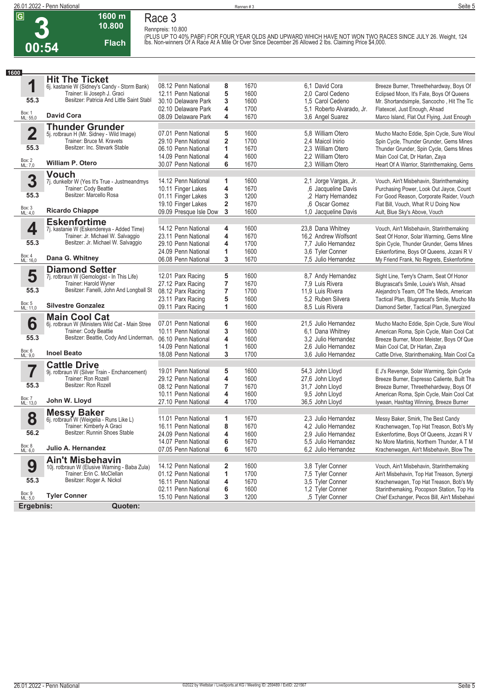

#### **1600 m 10.800 Flach Race 3**

**Rennpreis: 10.800** (PLUS UP TO 40% PABF) FOR FOUR YEAR OLDS AND UPWARD WHICH HAVE NOT WON TWO RACES SINCE JULY 26. Weight, 124<br>Ibs. Non-winners Of A Race At A Mile Or Over Since December 26 Allowed 2 Ibs. Claiming Price \$4,000.

| 1600<br>1<br>55.3<br>Box: 1<br>ML: 55,0 | <b>Hit The Ticket</b><br>6j. kastanie W (Sidney's Candy - Storm Bank)<br>Trainer: lii Joseph J. Graci<br>Besitzer: Patricia And Little Saint Stabl | 08.12 Penn National<br>12.11 Penn National | 8                            | 1670         |                                        |                           |                                                                                           |
|-----------------------------------------|----------------------------------------------------------------------------------------------------------------------------------------------------|--------------------------------------------|------------------------------|--------------|----------------------------------------|---------------------------|-------------------------------------------------------------------------------------------|
|                                         |                                                                                                                                                    |                                            |                              |              |                                        |                           |                                                                                           |
|                                         |                                                                                                                                                    |                                            |                              |              | 6.1 David Cora                         |                           | Breeze Burner, Threethehardway, Boys Of                                                   |
|                                         |                                                                                                                                                    |                                            | 5                            | 1600         | 2.0 Carol Cedeno                       |                           | Eclipsed Moon, It's Fate, Boys Of Queens                                                  |
|                                         |                                                                                                                                                    | 30.10 Delaware Park                        | 3                            | 1600         | 1.5 Carol Cedeno                       |                           | Mr. Shortandsimple, Sancocho, Hit The Tic                                                 |
|                                         | <b>David Cora</b>                                                                                                                                  | 02.10 Delaware Park                        | 4                            | 1700         |                                        | 5.1 Roberto Alvarado, Jr. | Flatexcel, Just Enough, Ahsad                                                             |
|                                         |                                                                                                                                                    | 08.09 Delaware Park                        | 4                            | 1670         | 3,6 Angel Suarez                       |                           | Marco Island, Flat Out Flying, Just Enough                                                |
|                                         | <b>Thunder Grunder</b>                                                                                                                             |                                            |                              |              |                                        |                           |                                                                                           |
| $\overline{\mathbf{2}}$                 | 5j. rotbraun H (Mr. Sidney - Wild Image)<br>Trainer: Bruce M. Kravets                                                                              | 07.01 Penn National                        | 5<br>$\overline{\mathbf{2}}$ | 1600         | 5.8 William Otero                      |                           | Mucho Macho Eddie, Spin Cycle, Sure Woul                                                  |
| 55.3                                    | Besitzer: Inc. Stevark Stable                                                                                                                      | 29.10 Penn National<br>06.10 Penn National | 1                            | 1700<br>1670 | 2.4 Maicol Inirio<br>2.3 William Otero |                           | Spin Cycle, Thunder Grunder, Gems Mines<br>Thunder Grunder, Spin Cycle, Gems Mines        |
|                                         |                                                                                                                                                    | 14.09 Penn National                        | 4                            | 1600         | 2.2 William Otero                      |                           | Main Cool Cat, Dr Harlan, Zaya                                                            |
| Box: 2<br>ML: 7,0                       | <b>William P. Otero</b>                                                                                                                            | 30.07 Penn National                        | 6                            | 1670         | 2.3 William Otero                      |                           | Heart Of A Warrior, Starinthemaking, Gems                                                 |
|                                         | <b>Vouch</b>                                                                                                                                       |                                            |                              |              |                                        |                           |                                                                                           |
| 3                                       | 7j. dunkelbr W (Yes It's True - Justmeandmys                                                                                                       | 14.12 Penn National                        | 1                            | 1600         |                                        | 2.1 Jorge Vargas, Jr.     | Vouch, Ain't Misbehavin, Starinthemaking                                                  |
|                                         | Trainer: Cody Beattie                                                                                                                              | 10.11 Finger Lakes                         | 4                            | 1670         |                                        | ,6 Jacqueline Davis       | Purchasing Power, Look Out Jayce, Count                                                   |
| 55.3                                    | Besitzer: Marcello Rosa                                                                                                                            | 01.11 Finger Lakes                         | 3                            | 1200         |                                        | ,2 Harry Hernandez        | For Good Reason, Corporate Raider, Vouch                                                  |
|                                         |                                                                                                                                                    | 19.10 Finger Lakes                         | 2                            | 1670         |                                        | .6 Oscar Gomez            | Flat Bill, Vouch, What R U Doing Now                                                      |
| Box: 3<br>ML: 4,0                       | <b>Ricardo Chiappe</b>                                                                                                                             | 09.09 Presque Isle Dow                     | 3                            | 1600         |                                        | 1,0 Jacqueline Davis      | Ault, Blue Sky's Above, Vouch                                                             |
|                                         | <b>Eskenfortime</b>                                                                                                                                |                                            |                              |              |                                        |                           |                                                                                           |
| 4                                       | 7j. kastanie W (Eskendereya - Added Time)                                                                                                          | 14.12 Penn National                        | 4                            | 1600         | 23,8 Dana Whitney                      |                           | Vouch, Ain't Misbehavin, Starinthemaking                                                  |
|                                         | Trainer: Jr. Michael W. Salvaggio<br>Besitzer: Jr. Michael W. Salvaggio                                                                            | 23.11 Penn National                        | 4                            | 1670         |                                        | 16,2 Andrew Wolfsont      | Seat Of Honor, Solar Warming, Gems Mine                                                   |
| 55.3                                    |                                                                                                                                                    | 29.10 Penn National                        | 4                            | 1700         |                                        | 7.7 Julio Hernandez       | Spin Cycle, Thunder Grunder, Gems Mines                                                   |
| Box: 4<br>ML: 16,0                      | Dana G. Whitney                                                                                                                                    | 24.09 Penn National<br>06.08 Penn National | 1<br>3                       | 1600<br>1670 | 3.6 Tyler Conner                       | 7.5 Julio Hernandez       | Eskenfortime, Boys Of Queens, Jozani R V<br>My Friend Frank, No Regrets, Eskenfortime     |
|                                         |                                                                                                                                                    |                                            |                              |              |                                        |                           |                                                                                           |
| 5                                       | <b>Diamond Setter</b><br>7j. rotbraun W (Gemologist - In This Life)                                                                                | 12.01 Parx Racing                          | 5                            | 1600         |                                        | 8,7 Andy Hernandez        | Sight Line, Terry's Charm, Seat Of Honor                                                  |
|                                         | Trainer: Harold Wyner                                                                                                                              | 27.12 Parx Racing                          | 7                            | 1670         | 7,9 Luis Rivera                        |                           | Blugrascat's Smile, Louie's Wish, Ahsad                                                   |
| 55.3                                    | Besitzer: Fanelli, John And Longball St                                                                                                            | 08.12 Parx Racing                          | 7                            | 1700         | 11,9 Luis Rivera                       |                           | Alejandro's Team, Off The Meds, American                                                  |
|                                         |                                                                                                                                                    | 23.11 Parx Racing                          | 5                            | 1600         | 5.2 Ruben Silvera                      |                           | Tactical Plan, Blugrascat's Smile, Mucho Ma                                               |
| Box: 5<br>ML: 11,0                      | <b>Silvestre Gonzalez</b>                                                                                                                          | 09.11 Parx Racing                          | 1                            | 1600         | 8,5 Luis Rivera                        |                           | Diamond Setter, Tactical Plan, Synergized                                                 |
|                                         | <b>Main Cool Cat</b>                                                                                                                               |                                            |                              |              |                                        |                           |                                                                                           |
| 6                                       | 6j. rotbraun W (Ministers Wild Cat - Main Stree                                                                                                    | 07.01 Penn National                        | 6                            | 1600         |                                        | 21,5 Julio Hernandez      | Mucho Macho Eddie, Spin Cycle, Sure Woul                                                  |
|                                         | Trainer: Cody Beattie                                                                                                                              | 10.11 Penn National                        | 3                            | 1600         | 6,1 Dana Whitney                       |                           | American Roma, Spin Cycle, Main Cool Cat                                                  |
| 55.3                                    | Besitzer: Beattie, Cody And Linderman,                                                                                                             | 06.10 Penn National                        | 4                            | 1600         |                                        | 3.2 Julio Hernandez       | Breeze Burner, Moon Meister, Boys Of Que                                                  |
|                                         |                                                                                                                                                    | 14.09 Penn National                        | 1                            | 1600         |                                        | 2.6 Julio Hernandez       | Main Cool Cat, Dr Harlan, Zaya                                                            |
| Box: 6<br>ML: 9,0                       | <b>Inoel Beato</b>                                                                                                                                 | 18.08 Penn National                        | 3                            | 1700         |                                        | 3.6 Julio Hernandez       | Cattle Drive, Starinthemaking, Main Cool Ca                                               |
|                                         | <b>Cattle Drive</b>                                                                                                                                |                                            |                              |              |                                        |                           |                                                                                           |
| 7                                       | 9j. rotbraun W (Silver Train - Enchancement)                                                                                                       | 19.01 Penn National                        | 5                            | 1600         | 54,3 John Lloyd                        |                           | E J's Revenge, Solar Warming, Spin Cycle                                                  |
| 55.3                                    | Trainer: Ron Rozell<br>Besitzer: Ron Rozell                                                                                                        | 29.12 Penn National<br>08.12 Penn National | 4<br>7                       | 1600<br>1670 | 27,6 John Lloyd                        |                           | Breeze Burner, Espresso Caliente, Built Tha<br>Breeze Burner, Threethehardway, Boys Of    |
|                                         |                                                                                                                                                    | 10.11 Penn National                        | 4                            | 1600         | 31,7 John Lloyd<br>9,5 John Lloyd      |                           |                                                                                           |
| Box: 7<br>ML: 13,0                      | John W. Lloyd                                                                                                                                      | 27.10 Penn National                        | 4                            | 1700         | 36,5 John Lloyd                        |                           | American Roma, Spin Cycle, Main Cool Cat<br>Iywaan, Hashtag Winning, Breeze Burner        |
|                                         |                                                                                                                                                    |                                            |                              |              |                                        |                           |                                                                                           |
| 8                                       | <b>Messy Baker</b><br>6j. rotbraun W (Weigelia - Runs Like L)                                                                                      | 11.01 Penn National                        | 1                            | 1670         |                                        | 2,3 Julio Hernandez       | Messy Baker, Smirk, The Best Candy                                                        |
|                                         | Trainer: Kimberly A Graci                                                                                                                          | 16.11 Penn National                        | 8                            | 1670         |                                        | 4,2 Julio Hernandez       | Krachenwagen, Top Hat Treason, Bob's My                                                   |
| 56.2                                    | Besitzer: Runnin Shoes Stable                                                                                                                      | 24.09 Penn National                        | 4                            | 1600         |                                        | 2,9 Julio Hernandez       | Eskenfortime, Boys Of Queens, Jozani R V                                                  |
|                                         |                                                                                                                                                    | 14.07 Penn National                        | 6                            | 1670         |                                        | 5,5 Julio Hernandez       | No More Martinis, Northern Thunder, A T M                                                 |
| Box: 8<br>ML: 6,0                       | Julio A. Hernandez                                                                                                                                 | 07.05 Penn National                        | 6                            | 1670         |                                        | 6,2 Julio Hernandez       | Krachenwagen, Ain't Misbehavin, Blow The                                                  |
|                                         | <b>Ain't Misbehavin</b>                                                                                                                            |                                            |                              |              |                                        |                           |                                                                                           |
| 9                                       | 10j. rotbraun W (Elusive Warning - Baba Zula)                                                                                                      | 14.12 Penn National                        | $\overline{\mathbf{2}}$      | 1600         | 3,8 Tyler Conner                       |                           | Vouch, Ain't Misbehavin, Starinthemaking                                                  |
|                                         | Trainer: Erin C. McClellan                                                                                                                         | 01.12 Penn National                        | 1                            | 1700         | 7,5 Tyler Conner                       |                           | Ain't Misbehavin, Top Hat Treason, Synergi                                                |
| 55.3                                    | Besitzer: Roger A. Nickol                                                                                                                          | 16.11 Penn National                        | 4                            | 1670         | 3.5 Tyler Conner                       |                           | Krachenwagen, Top Hat Treason, Bob's My                                                   |
| Box: 9<br>ML: 5,0                       | <b>Tyler Conner</b>                                                                                                                                | 02.11 Penn National<br>15.10 Penn National | 6<br>3                       | 1600<br>1200 | 1.2 Tvler Conner                       | ,5 Tyler Conner           | Starinthemaking, Pocopson Station, Top Ha<br>Chief Exchanger, Pecos Bill, Ain't Misbehavi |
|                                         |                                                                                                                                                    |                                            |                              |              |                                        |                           |                                                                                           |
| Ergebnis:                               | Quoten:                                                                                                                                            |                                            |                              |              |                                        |                           |                                                                                           |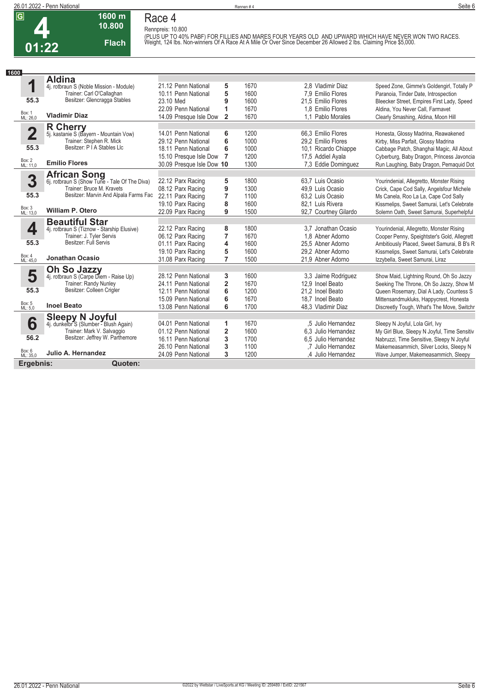**Race 4 Rennpreis: 10.800**



### **1600 m 10.800 Flach**

(PLUS UP TO 40% PABF) FOR FILLIES AND MARES FOUR YEARS OLD AND UPWARD WHICH HAVE NEVER WON TWO RACES.<br>Weight, 124 Ibs. Non-winners Of A Race At A Mile Or Over Since December 26 Allowed 2 Ibs. Claiming Price \$5,000.

| 1600                    |                                                                      |                           |                         |      |                       |                                              |
|-------------------------|----------------------------------------------------------------------|---------------------------|-------------------------|------|-----------------------|----------------------------------------------|
|                         | <b>Aldina</b>                                                        |                           |                         |      |                       |                                              |
| 1                       | 4j. rotbraun S (Noble Mission - Module)                              | 21.12 Penn National       | 5                       | 1670 | 2.8 Vladimir Diaz     | Speed Zone, Gimme's Goldengirl, Totally P    |
|                         | Trainer: Carl O'Callaghan                                            | 10.11 Penn National       | 5                       | 1600 | 7.9 Emilio Flores     | Paranoia, Tinder Date, Introspection         |
| 55.3                    | Besitzer: Glencragga Stables                                         | 23.10 Med                 | 9                       | 1600 | 21.5 Emilio Flores    | Bleecker Street, Empires First Lady, Speed   |
|                         |                                                                      | 22.09 Penn National       | 1                       | 1670 | 1.8 Emilio Flores     | Aldina, You Never Call, Farmavet             |
| Box: 1<br>ML: 26,0      | <b>Vladimir Diaz</b>                                                 | 14.09 Presque Isle Dow    | $\overline{2}$          | 1670 | 1.1 Pablo Morales     | Clearly Smashing, Aldina, Moon Hill          |
|                         | <b>R</b> Cherry                                                      |                           |                         |      |                       |                                              |
| $\overline{\mathbf{2}}$ | 5j. kastanie S (Bayern - Mountain Vow)                               | 14.01 Penn National       | 6                       | 1200 | 66.3 Emilio Flores    | Honesta, Glossy Madrina, Reawakened          |
|                         | Trainer: Stephen R. Mick                                             | 29.12 Penn National       | 6                       | 1000 | 29.2 Emilio Flores    | Kirby, Miss Parfait, Glossy Madrina          |
| 55.3                    | Besitzer: P I A Stables Llc                                          | 18.11 Penn National       | 6                       | 1000 | 10.1 Ricardo Chiappe  | Cabbage Patch, Shanghai Magic, All About     |
|                         |                                                                      | 15.10 Presque Isle Dow    | $\overline{7}$          | 1200 | 17,5 Addiel Ayala     | Cyberburg, Baby Dragon, Princess Javoncia    |
| Box: 2<br>ML: 11,0      | <b>Emilio Flores</b>                                                 | 30.09 Presque Isle Dow 10 |                         | 1300 | 7.3 Eddie Dominguez   | Run Laughing, Baby Dragon, Pemaquid Dot      |
|                         |                                                                      |                           |                         |      |                       |                                              |
| 3                       | <b>African Song</b><br>6j. rotbraun S (Show Tune - Tale Of The Diva) | 22.12 Parx Racing         | 5                       | 1800 | 63,7 Luis Ocasio      | Yourindenial, Allegretto, Monster Rising     |
|                         | Trainer: Bruce M. Kravets                                            | 08.12 Parx Racing         | 9                       | 1300 | 49.9 Luis Ocasio      | Crick, Cape Cod Sally, Angelsfour Michele    |
| 55.3                    | Besitzer: Marvin And Alpala Farms Fac                                | 22.11 Parx Racing         | 7                       | 1100 | 63.2 Luis Ocasio      | Ms Canela, Roo La La, Cape Cod Sally         |
|                         |                                                                      | 19.10 Parx Racing         | 8                       | 1600 | 82.1 Luis Rivera      | Kissmelips, Sweet Samurai, Let's Celebrate   |
| Box: 3<br>ML: 13,0      | <b>William P. Otero</b>                                              | 22.09 Parx Racing         | 9                       | 1500 | 92,7 Courtney Gilardo | Solemn Oath, Sweet Samurai, Superhelpful     |
|                         | <b>Beautiful Star</b>                                                |                           |                         |      |                       |                                              |
| 4                       | 4j. rotbraun S (Tiznow - Starship Elusive)                           | 22.12 Parx Racing         | 8                       | 1800 | 3.7 Jonathan Ocasio   | Yourindenial, Allegretto, Monster Rising     |
|                         | Trainer: J. Tyler Servis                                             | 06.12 Parx Racing         | $\overline{7}$          | 1670 | 1.8 Abner Adorno      | Cooper Penny, Speightster's Gold, Allegrett  |
| 55.3                    | Besitzer: Full Servis                                                | 01.11 Parx Racing         | 4                       | 1600 | 25.5 Abner Adorno     | Ambitiously Placed, Sweet Samurai, B B's R   |
|                         |                                                                      | 19.10 Parx Racing         | 5                       | 1600 | 29,2 Abner Adorno     | Kissmelips, Sweet Samurai, Let's Celebrate   |
| Box: 4<br>ML: 45,0      | <b>Jonathan Ocasio</b>                                               | 31.08 Parx Racing         | $\overline{7}$          | 1500 | 21.9 Abner Adorno     | Izzybella, Sweet Samurai, Liraz              |
|                         | Oh So Jazzy                                                          |                           |                         |      |                       |                                              |
| 5                       | 4j. rotbraun S (Carpe Diem - Raise Up)                               | 28.12 Penn National       | 3                       | 1600 | 3,3 Jaime Rodriguez   | Show Maid, Lightning Round, Oh So Jazzy      |
|                         | Trainer: Randy Nunley                                                | 24.11 Penn National       | $\overline{2}$          | 1670 | 12.9 Inoel Beato      | Seeking The Throne, Oh So Jazzy, Show M      |
| 55.3                    | Besitzer: Colleen Crigler                                            | 12.11 Penn National       | 6                       | 1200 | 21.2 Inoel Beato      | Queen Rosemary, Dial A Lady, Countess S      |
|                         |                                                                      | 15.09 Penn National       | 6                       | 1670 | 18,7 Inoel Beato      | Mittensandmukluks, Happycrest, Honesta       |
| Box: 5<br>ML: 5,0       | <b>Inoel Beato</b>                                                   | 13.08 Penn National       | 6                       | 1700 | 48,3 Vladimir Diaz    | Discreetly Tough, What's The Move, Switchr   |
|                         |                                                                      |                           |                         |      |                       |                                              |
| 6                       | Sleepy N Joyful<br>4j. dunkelbr S (Slumber - Blush Again)            | 04.01 Penn National       | 1                       | 1670 | .5 Julio Hernandez    | Sleepy N Joyful, Lola Girl, Ivy              |
|                         | Trainer: Mark V. Salvaggio                                           | 01.12 Penn National       | $\overline{\mathbf{2}}$ | 1600 | 6.3 Julio Hernandez   | My Girl Blue, Sleepy N Joyful, Time Sensitiv |
| 56.2                    | Besitzer: Jeffrey W. Parthemore                                      | 16.11 Penn National       | 3                       | 1700 | 6.5 Julio Hernandez   | Nabruzzi, Time Sensitive, Sleepy N Joyful    |
|                         |                                                                      | 26.10 Penn National       | 3                       | 1100 | .7 Julio Hernandez    | Makemeasammich, Silver Locks, Sleepy N       |
| Box: 6<br>ML: 35,0      | Julio A. Hernandez                                                   | 24.09 Penn National       | 3                       | 1200 | ,4 Julio Hernandez    | Wave Jumper, Makemeasammich, Sleepy          |
| Ergebnis:               | Quoten:                                                              |                           |                         |      |                       |                                              |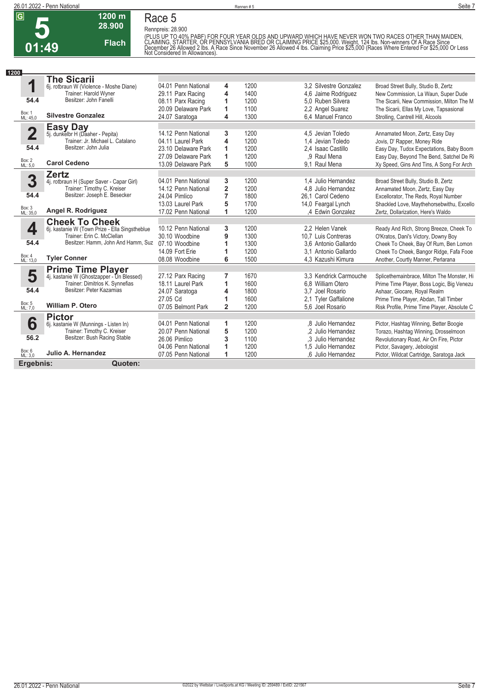## **5 01:49**

**Race 5**

**1200 m 28.900** 

**Flach**

**Rennpreis: 28.900**

(PLUS UP TO 40% PABF) FOR FOUR YEAR OLDS AND UPWARD WHICH HAVE NEVER WON TWO RACES OTHER THAN MAIDEN,<br>CLAIMING, STARTER, OR PENNSYLVANIA BRED OR CLAIMING PRICE \$25,000. Weight, 124 lbs. Non-winners Of A Race Since<br>December

| 1200                    |                                                |                     |                |      |                        |                                             |
|-------------------------|------------------------------------------------|---------------------|----------------|------|------------------------|---------------------------------------------|
|                         | <b>The Sicarii</b>                             |                     |                |      |                        |                                             |
| 1                       | 6j. rotbraun W (Violence - Moshe Diane)        | 04.01 Penn National | 4              | 1200 | 3.2 Silvestre Gonzalez | Broad Street Bully, Studio B, Zertz         |
|                         | Trainer: Harold Wyner                          | 29.11 Parx Racing   | 4              | 1400 | 4,6 Jaime Rodriguez    | New Commission, La Waun, Super Dude         |
| 54.4                    | Besitzer: John Fanelli                         | 08.11 Parx Racing   | 1              | 1200 | 5.0 Ruben Silvera      | The Sicarii, New Commission, Milton The M   |
|                         |                                                | 20.09 Delaware Park | 1              | 1100 | 2.2 Angel Suarez       | The Sicarii, Ellas My Love, Tapsasional     |
| Box: 1<br>ML: 45,0      | <b>Silvestre Gonzalez</b>                      | 24.07 Saratoga      | 4              | 1300 | 6.4 Manuel Franco      | Strolling, Cantrell Hill, Alcools           |
|                         |                                                |                     |                |      |                        |                                             |
| $\overline{\mathbf{2}}$ | Easy Day<br>5j. dunkelbr H (Daaher - Pepita)   | 14.12 Penn National | 3              | 1200 | 4.5 Jevian Toledo      | Annamated Moon, Zertz, Easy Day             |
|                         | Trainer: Jr. Michael L. Catalano               | 04.11 Laurel Park   | 4              | 1200 | 1.4 Jevian Toledo      | Jovis, D' Rapper, Money Ride                |
| 54.4                    | Besitzer: John Julia                           | 23.10 Delaware Park | 1              | 1200 | 2.4 Isaac Castillo     | Easy Day, Tudox Expectations, Baby Boom     |
|                         |                                                | 27.09 Delaware Park | 1              | 1200 | .9 Raul Mena           | Easy Day, Beyond The Bend, Satchel De Ri    |
| Box: 2<br>ML: 5,0       | <b>Carol Cedeno</b>                            | 13.09 Delaware Park | 5              | 1000 | 9.1 Raul Mena          | Xy Speed, Gins And Tins, A Song For Arch    |
|                         | <b>Zertz</b>                                   |                     |                |      |                        |                                             |
| 3                       | 4j. rotbraun H (Super Saver - Capar Girl)      | 04.01 Penn National | 3              | 1200 | 1.4 Julio Hernandez    | Broad Street Bully, Studio B, Zertz         |
|                         | Trainer: Timothy C. Kreiser                    | 14.12 Penn National | $\overline{2}$ | 1200 | 4.8 Julio Hernandez    | Annamated Moon, Zertz, Easy Day             |
| 54.4                    | Besitzer: Joseph E. Besecker                   | 24.04 Pimlico       | 7              | 1800 | 26.1 Carol Cedeno      | Excellorator, The Reds, Royal Number        |
|                         |                                                | 13.03 Laurel Park   | 5              | 1700 | 14,0 Feargal Lynch     | Shackled Love, Maythehorsebwithu, Excello   |
| Box: 3<br>ML: 35,0      | Angel R. Rodriguez                             | 17.02 Penn National | 1              | 1200 | ,4 Edwin Gonzalez      | Zertz, Dollarization, Here's Waldo          |
|                         | <b>Cheek To Cheek</b>                          |                     |                |      |                        |                                             |
| 4                       | 6j. kastanie W (Town Prize - Ella Singstheblue | 10.12 Penn National | 3              | 1200 | 2.2 Helen Vanek        | Ready And Rich, Strong Breeze, Cheek To     |
|                         | Trainer: Erin C. McClellan                     | 30.10 Woodbine      | 9              | 1300 | 10.7 Luis Contreras    | O'Kratos, Dani's Victory, Downy Boy         |
| 54.4                    | Besitzer: Hamm, John And Hamm, Suz             | 07.10 Woodbine      | 1              | 1300 | 3.6 Antonio Gallardo   | Cheek To Cheek, Bay Of Rum, Ben Lomon       |
|                         |                                                | 14.09 Fort Erie     | 1              | 1200 | 3.1 Antonio Gallardo   | Cheek To Cheek, Bangor Ridge, Fafa Fooe     |
| Box: 4<br>ML: 13,0      | <b>Tyler Conner</b>                            | 08.08 Woodbine      | 6              | 1500 | 4.3 Kazushi Kimura     | Another, Courtly Manner, Perlarana          |
|                         | <b>Prime Time Player</b>                       |                     |                |      |                        |                                             |
| 5                       | 4j. kastanie W (Ghostzapper - Un Blessed)      | 27.12 Parx Racing   | 7              | 1670 | 3.3 Kendrick Carmouche | Splicethemainbrace, Milton The Monster, Hi  |
|                         | Trainer: Dimitrios K. Synnefias                | 18.11 Laurel Park   | 1              | 1600 | 6.8 William Otero      | Prime Time Player, Boss Logic, Big Venezu   |
| 54.4                    | Besitzer: Peter Kazamias                       | 24.07 Saratoga      | 4              | 1800 | 3.7 Joel Rosario       | Ashaar, Giocare, Royal Realm                |
|                         |                                                | 27.05 Cd            | 1              | 1600 | 2.1 Tyler Gaffalione   | Prime Time Player, Abdan, Tall Timber       |
| Box: 5<br>ML: 7,0       | <b>William P. Otero</b>                        | 07.05 Belmont Park  | $\overline{2}$ | 1200 | 5.6 Joel Rosario       | Risk Profile, Prime Time Player, Absolute C |
|                         | <b>Pictor</b>                                  |                     |                |      |                        |                                             |
| 6                       | 6j. kastanie W (Munnings - Listen In)          | 04.01 Penn National | 1              | 1200 | .8 Julio Hernandez     | Pictor, Hashtag Winning, Better Boogie      |
|                         | Trainer: Timothy C. Kreiser                    | 20.07 Penn National | 5              | 1200 | .2 Julio Hernandez     | Torazo, Hashtag Winning, Drosselmoon        |
| 56.2                    | Besitzer: Bush Racing Stable                   | 26.06 Pimlico       | 3              | 1100 | .3 Julio Hernandez     | Revolutionary Road, Air On Fire, Pictor     |
|                         |                                                |                     |                | 1200 | 1.5 Julio Hernandez    |                                             |
|                         |                                                | 04.06 Penn National | 1              |      |                        | Pictor, Savagery, Jebologist                |
| Box: 6<br>ML: 3,0       | Julio A. Hernandez                             | 07.05 Penn National | 1              | 1200 | .6 Julio Hernandez     | Pictor, Wildcat Cartridge, Saratoga Jack    |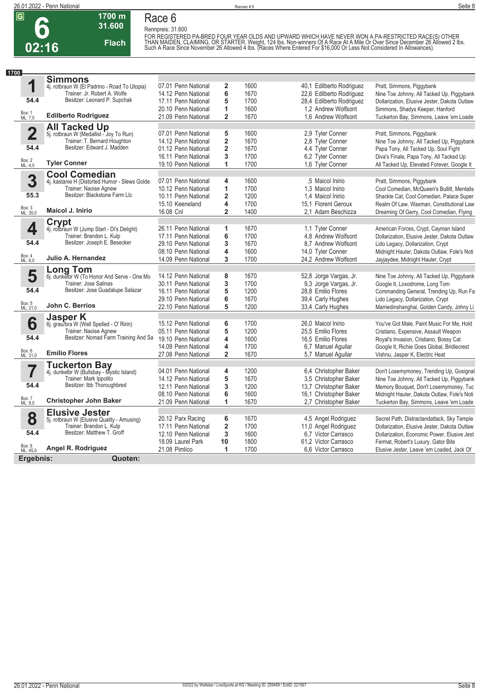

### **Race 6**

**1700 m 31.600** 

**Flach**

**Rennpreis: 31.600**

FOR REGISTERED PA-BRED FOUR YEAR OLDS AND UPWARD WHICH HAVE NEVER WON A PA-RESTRICTED RACE(S) OTHER<br>THAN MAIDEN, CLAIMING, OR STARTER. Weight, 124 lbs. Non-winners Of A Race At A Mile Or Over Since December 26<br>Such A Race

| 1<br>2<br>1600<br>07.01 Penn National<br>40,1 Edilberto Rodriguez<br>Pratt, Simmons, Piggybank<br>4j. rotbraun W (El Padrino - Road To Utopia)<br>Trainer: Jr. Robert A. Wolfe<br>6<br>14.12 Penn National<br>1670<br>22,6 Edilberto Rodriguez<br>Besitzer: Leonard P. Supchak<br>54.4<br>5<br>1700<br>28,4 Edilberto Rodriguez<br>17.11 Penn National<br>Dollarization, Elusive Jester, Dakota Outlaw<br>1<br>1600<br>1.2 Andrew Wolfsont<br>20.10 Penn National<br>Simmons, Shadys Keeper, Hanford<br>Box: 1<br>ML: 7,0<br><b>Edilberto Rodriguez</b><br>$\overline{2}$<br>1670<br>1,6 Andrew Wolfsont<br>21.09 Penn National<br>Tuckerton Bay, Simmons, Leave 'em Loade<br>All Tacked Up<br>5j. rotbraun W (Medallist - Joy To Run)<br>$\overline{\mathbf{2}}$<br>5<br>07.01 Penn National<br>1600<br>2.9 Tyler Conner<br>Pratt, Simmons, Piggybank<br>Trainer: T. Bernard Houghton<br>$\overline{\mathbf{2}}$<br>1670<br>14.12 Penn National<br>2.8 Tyler Conner<br>Nine Toe Johnny, All Tacked Up, Piggybank<br>Besitzer: Edward J. Madden<br>54.4<br>$\overline{\mathbf{2}}$<br>01.12 Penn National<br>1670<br>4,4 Tyler Conner<br>Papa Tony, All Tacked Up, Soul Fight<br>3<br>1700<br>6,2 Tyler Conner<br>16.11 Penn National<br>Diva's Finale, Papa Tony, All Tacked Up<br>Box: 2<br>ML: 4,0<br><b>Tyler Conner</b><br>1<br>19.10 Penn National<br>1700<br>1.6 Tyler Conner<br>All Tacked Up, Elevated Forever, Google It<br><b>Cool Comedian</b><br>3<br>4<br>4j. kastanie H (Distorted Humor - Slews Golde<br>07.01 Penn National<br>1600<br>.5 Maicol Inirio<br>Pratt, Simmons, Piggybank<br>1<br>1700<br>Trainer: Naoise Agnew<br>10.12 Penn National<br>1,3 Maicol Inirio<br>Besitzer: Blackstone Farm Llc<br>55.3<br>$\overline{\mathbf{2}}$<br>1200<br>10.11 Penn National<br>1,4 Maicol Inirio<br>Shackle Cat, Cool Comedian, Palace Super<br>4<br>1700<br>15.10 Keeneland<br>15.1 Florent Geroux<br>Box: 3<br>ML: 35,0<br><b>Maicol J. Inirio</b><br>$\overline{\mathbf{2}}$<br>16.08 Cnl<br>1400<br>2.1 Adam Beschizza<br>Dreaming Of Gerry, Cool Comedian, Flying<br>Crypt<br>4<br>1<br>26.11 Penn National<br>1670<br>1.1 Tyler Conner<br>American Forces, Crypt, Cayman Island<br>4j. rotbraun W (Jump Start - Di's Delight)<br>Trainer: Brandon L. Kulp<br>6<br>1700<br>17.11 Penn National<br>4.8 Andrew Wolfsont<br>Dollarization, Elusive Jester, Dakota Outlaw<br>Besitzer: Joseph E. Besecker<br>54.4<br>3<br>29.10 Penn National<br>1670<br>8,7 Andrew Wolfsont<br>Lido Legacy, Dollarization, Crypt<br>4<br>1600<br>08.10 Penn National<br>14,0 Tyler Conner<br>Midnight Hauler, Dakota Outlaw, Fole's Noti<br>Box: 4<br>Julio A. Hernandez<br>3<br>14.09 Penn National<br>1700<br>24.2 Andrew Wolfsont<br>Jayjaydee, Midnight Hauler, Crypt<br>ML: 6.0<br><b>Long Tom</b><br>5<br>8<br>14.12 Penn National<br>1670<br>52,8 Jorge Vargas, Jr.<br>Nine Toe Johnny, All Tacked Up, Piggybank<br>6j. dunkelbr W (To Honor And Serve - One Mo<br>3<br>Trainer: Jose Salinas<br>1700<br>30.11 Penn National<br>9.3 Jorge Vargas, Jr.<br>Google It, Loxodrome, Long Tom<br>Besitzer: Jose Guadalupe Salazar<br>54.4<br>5<br>1200<br>28,8 Emilio Flores<br>Commanding General, Trending Up, Run Fa<br>16.11 Penn National<br>6<br>1670<br>39,4 Carly Hughes<br>29.10 Penn National<br>Lido Legacy, Dollarization, Crypt<br>Box: 5<br>ML: 21,0<br>John C. Berrios<br>5<br>22.10 Penn National<br>1200<br>33,4 Carly Hughes<br>Marriedinshanghai, Golden Candy, Johny Li<br><b>Jasper K</b><br>6<br>6<br>6j. grau/bra W (Well Spelled - O' Ririn)<br>15.12 Penn National<br>1700<br>26,0 Maicol Inirio<br>You've Got Male, Paint Music For Me, Hold<br>5<br>Trainer: Naoise Agnew<br>1200<br>05.11 Penn National<br>25.5 Emilio Flores<br>Cristiano, Expensive, Assault Weapon<br>Besitzer: Nomad Farm Training And Sa<br>54.4<br>4<br>19.10 Penn National<br>1600<br>16,5 Emilio Flores<br>Royal's Invasion, Cristiano, Bossy Cat<br>4<br>1700<br>14.09 Penn National<br>6,7 Manuel Aquilar<br>Google It, Richie Goes Global, Bridlecrest<br>Box: 6<br>ML: 31,0<br><b>Emilio Flores</b><br>$\overline{2}$<br>1670<br>27.08 Penn National<br>5,7 Manuel Aquilar<br>Vishnu, Jasper K, Electric Heat<br><b>Tuckerton Bay</b><br>4j. dunkelbr W (Bullsbay - Mystic Island)<br>7<br>04.01 Penn National<br>4<br>1200<br>6,4 Christopher Baker<br>Don't Losemymoney, Trending Up, Gosignal<br>5<br>Trainer: Mark Ippolito<br>1670<br>14.12 Penn National<br>3.5 Christopher Baker<br>Nine Toe Johnny, All Tacked Up, Piggybank<br>Besitzer: Ibb Thoroughbred<br>54.4<br>3<br>1200<br>12.11 Penn National<br>13,7 Christopher Baker<br>Memory Bouquet, Don't Losemymoney, Tuc<br>6<br>08.10 Penn National<br>1600<br>16,1 Christopher Baker<br>Midnight Hauler, Dakota Outlaw, Fole's Noti<br>Box: 7<br><b>Christopher John Baker</b><br>1<br>1670<br>21.09 Penn National<br>2.7 Christopher Baker<br>Tuckerton Bay, Simmons, Leave 'em Loade<br>ML: 9,0<br><b>Elusive Jester</b><br>8<br>20.12 Parx Racing<br>6<br>1670<br>4,5 Angel Rodriguez<br>Secret Path, Distractandattack, Sky Temple<br>5j. rotbraun W (Elusive Quality - Amusing)<br>Trainer: Brandon L. Kulp<br>$\overline{\mathbf{2}}$<br>1700<br>11,0 Angel Rodriguez<br>17.11 Penn National<br>Dollarization, Elusive Jester, Dakota Outlaw<br>Besitzer: Matthew T. Groff<br>54.4<br>3<br>6.7 Victor Carrasco<br>12.10 Penn National<br>1600<br>Dollarization, Economic Power, Elusive Jest<br>18.09 Laurel Park<br>10<br>1800<br>61,2 Victor Carrasco<br>Fermat, Robert's Luxury, Gator Bite<br>Box: 8<br>ML: 45,0<br>Angel R. Rodriguez<br>21.08 Pimlico<br>1<br>1700<br>6.6 Victor Carrasco<br>Elusive Jester, Leave 'em Loaded, Jack Of<br>Ergebnis:<br>Quoten: | 1700 |                |  |  |                                            |
|--------------------------------------------------------------------------------------------------------------------------------------------------------------------------------------------------------------------------------------------------------------------------------------------------------------------------------------------------------------------------------------------------------------------------------------------------------------------------------------------------------------------------------------------------------------------------------------------------------------------------------------------------------------------------------------------------------------------------------------------------------------------------------------------------------------------------------------------------------------------------------------------------------------------------------------------------------------------------------------------------------------------------------------------------------------------------------------------------------------------------------------------------------------------------------------------------------------------------------------------------------------------------------------------------------------------------------------------------------------------------------------------------------------------------------------------------------------------------------------------------------------------------------------------------------------------------------------------------------------------------------------------------------------------------------------------------------------------------------------------------------------------------------------------------------------------------------------------------------------------------------------------------------------------------------------------------------------------------------------------------------------------------------------------------------------------------------------------------------------------------------------------------------------------------------------------------------------------------------------------------------------------------------------------------------------------------------------------------------------------------------------------------------------------------------------------------------------------------------------------------------------------------------------------------------------------------------------------------------------------------------------------------------------------------------------------------------------------------------------------------------------------------------------------------------------------------------------------------------------------------------------------------------------------------------------------------------------------------------------------------------------------------------------------------------------------------------------------------------------------------------------------------------------------------------------------------------------------------------------------------------------------------------------------------------------------------------------------------------------------------------------------------------------------------------------------------------------------------------------------------------------------------------------------------------------------------------------------------------------------------------------------------------------------------------------------------------------------------------------------------------------------------------------------------------------------------------------------------------------------------------------------------------------------------------------------------------------------------------------------------------------------------------------------------------------------------------------------------------------------------------------------------------------------------------------------------------------------------------------------------------------------------------------------------------------------------------------------------------------------------------------------------------------------------------------------------------------------------------------------------------------------------------------------------------------------------------------------------------------------------------------------------------------------------------------------------------------------------------------------------------------------------------------------------------------------------------------------------------------------------------------------------------------------------------------------------------------------------------------------------------------------------------------------------------------------------------------------------------------------------------------------------------------------------------------------------------------------------------------------------------------------------------------------------------------------------------------------------------------------------------------------------------------------------------------------------------------------------------------------------------------------------------------------------------------------------------------------------------------------------------------------------------------------------------------------------------------------------------------------------|------|----------------|--|--|--------------------------------------------|
|                                                                                                                                                                                                                                                                                                                                                                                                                                                                                                                                                                                                                                                                                                                                                                                                                                                                                                                                                                                                                                                                                                                                                                                                                                                                                                                                                                                                                                                                                                                                                                                                                                                                                                                                                                                                                                                                                                                                                                                                                                                                                                                                                                                                                                                                                                                                                                                                                                                                                                                                                                                                                                                                                                                                                                                                                                                                                                                                                                                                                                                                                                                                                                                                                                                                                                                                                                                                                                                                                                                                                                                                                                                                                                                                                                                                                                                                                                                                                                                                                                                                                                                                                                                                                                                                                                                                                                                                                                                                                                                                                                                                                                                                                                                                                                                                                                                                                                                                                                                                                                                                                                                                                                                                                                                                                                                                                                                                                                                                                                                                                                                                                                                                                                                                                  |      | <b>Simmons</b> |  |  |                                            |
|                                                                                                                                                                                                                                                                                                                                                                                                                                                                                                                                                                                                                                                                                                                                                                                                                                                                                                                                                                                                                                                                                                                                                                                                                                                                                                                                                                                                                                                                                                                                                                                                                                                                                                                                                                                                                                                                                                                                                                                                                                                                                                                                                                                                                                                                                                                                                                                                                                                                                                                                                                                                                                                                                                                                                                                                                                                                                                                                                                                                                                                                                                                                                                                                                                                                                                                                                                                                                                                                                                                                                                                                                                                                                                                                                                                                                                                                                                                                                                                                                                                                                                                                                                                                                                                                                                                                                                                                                                                                                                                                                                                                                                                                                                                                                                                                                                                                                                                                                                                                                                                                                                                                                                                                                                                                                                                                                                                                                                                                                                                                                                                                                                                                                                                                                  |      |                |  |  |                                            |
|                                                                                                                                                                                                                                                                                                                                                                                                                                                                                                                                                                                                                                                                                                                                                                                                                                                                                                                                                                                                                                                                                                                                                                                                                                                                                                                                                                                                                                                                                                                                                                                                                                                                                                                                                                                                                                                                                                                                                                                                                                                                                                                                                                                                                                                                                                                                                                                                                                                                                                                                                                                                                                                                                                                                                                                                                                                                                                                                                                                                                                                                                                                                                                                                                                                                                                                                                                                                                                                                                                                                                                                                                                                                                                                                                                                                                                                                                                                                                                                                                                                                                                                                                                                                                                                                                                                                                                                                                                                                                                                                                                                                                                                                                                                                                                                                                                                                                                                                                                                                                                                                                                                                                                                                                                                                                                                                                                                                                                                                                                                                                                                                                                                                                                                                                  |      |                |  |  | Nine Toe Johnny, All Tacked Up, Piggybank  |
|                                                                                                                                                                                                                                                                                                                                                                                                                                                                                                                                                                                                                                                                                                                                                                                                                                                                                                                                                                                                                                                                                                                                                                                                                                                                                                                                                                                                                                                                                                                                                                                                                                                                                                                                                                                                                                                                                                                                                                                                                                                                                                                                                                                                                                                                                                                                                                                                                                                                                                                                                                                                                                                                                                                                                                                                                                                                                                                                                                                                                                                                                                                                                                                                                                                                                                                                                                                                                                                                                                                                                                                                                                                                                                                                                                                                                                                                                                                                                                                                                                                                                                                                                                                                                                                                                                                                                                                                                                                                                                                                                                                                                                                                                                                                                                                                                                                                                                                                                                                                                                                                                                                                                                                                                                                                                                                                                                                                                                                                                                                                                                                                                                                                                                                                                  |      |                |  |  |                                            |
|                                                                                                                                                                                                                                                                                                                                                                                                                                                                                                                                                                                                                                                                                                                                                                                                                                                                                                                                                                                                                                                                                                                                                                                                                                                                                                                                                                                                                                                                                                                                                                                                                                                                                                                                                                                                                                                                                                                                                                                                                                                                                                                                                                                                                                                                                                                                                                                                                                                                                                                                                                                                                                                                                                                                                                                                                                                                                                                                                                                                                                                                                                                                                                                                                                                                                                                                                                                                                                                                                                                                                                                                                                                                                                                                                                                                                                                                                                                                                                                                                                                                                                                                                                                                                                                                                                                                                                                                                                                                                                                                                                                                                                                                                                                                                                                                                                                                                                                                                                                                                                                                                                                                                                                                                                                                                                                                                                                                                                                                                                                                                                                                                                                                                                                                                  |      |                |  |  |                                            |
|                                                                                                                                                                                                                                                                                                                                                                                                                                                                                                                                                                                                                                                                                                                                                                                                                                                                                                                                                                                                                                                                                                                                                                                                                                                                                                                                                                                                                                                                                                                                                                                                                                                                                                                                                                                                                                                                                                                                                                                                                                                                                                                                                                                                                                                                                                                                                                                                                                                                                                                                                                                                                                                                                                                                                                                                                                                                                                                                                                                                                                                                                                                                                                                                                                                                                                                                                                                                                                                                                                                                                                                                                                                                                                                                                                                                                                                                                                                                                                                                                                                                                                                                                                                                                                                                                                                                                                                                                                                                                                                                                                                                                                                                                                                                                                                                                                                                                                                                                                                                                                                                                                                                                                                                                                                                                                                                                                                                                                                                                                                                                                                                                                                                                                                                                  |      |                |  |  |                                            |
|                                                                                                                                                                                                                                                                                                                                                                                                                                                                                                                                                                                                                                                                                                                                                                                                                                                                                                                                                                                                                                                                                                                                                                                                                                                                                                                                                                                                                                                                                                                                                                                                                                                                                                                                                                                                                                                                                                                                                                                                                                                                                                                                                                                                                                                                                                                                                                                                                                                                                                                                                                                                                                                                                                                                                                                                                                                                                                                                                                                                                                                                                                                                                                                                                                                                                                                                                                                                                                                                                                                                                                                                                                                                                                                                                                                                                                                                                                                                                                                                                                                                                                                                                                                                                                                                                                                                                                                                                                                                                                                                                                                                                                                                                                                                                                                                                                                                                                                                                                                                                                                                                                                                                                                                                                                                                                                                                                                                                                                                                                                                                                                                                                                                                                                                                  |      |                |  |  |                                            |
|                                                                                                                                                                                                                                                                                                                                                                                                                                                                                                                                                                                                                                                                                                                                                                                                                                                                                                                                                                                                                                                                                                                                                                                                                                                                                                                                                                                                                                                                                                                                                                                                                                                                                                                                                                                                                                                                                                                                                                                                                                                                                                                                                                                                                                                                                                                                                                                                                                                                                                                                                                                                                                                                                                                                                                                                                                                                                                                                                                                                                                                                                                                                                                                                                                                                                                                                                                                                                                                                                                                                                                                                                                                                                                                                                                                                                                                                                                                                                                                                                                                                                                                                                                                                                                                                                                                                                                                                                                                                                                                                                                                                                                                                                                                                                                                                                                                                                                                                                                                                                                                                                                                                                                                                                                                                                                                                                                                                                                                                                                                                                                                                                                                                                                                                                  |      |                |  |  |                                            |
|                                                                                                                                                                                                                                                                                                                                                                                                                                                                                                                                                                                                                                                                                                                                                                                                                                                                                                                                                                                                                                                                                                                                                                                                                                                                                                                                                                                                                                                                                                                                                                                                                                                                                                                                                                                                                                                                                                                                                                                                                                                                                                                                                                                                                                                                                                                                                                                                                                                                                                                                                                                                                                                                                                                                                                                                                                                                                                                                                                                                                                                                                                                                                                                                                                                                                                                                                                                                                                                                                                                                                                                                                                                                                                                                                                                                                                                                                                                                                                                                                                                                                                                                                                                                                                                                                                                                                                                                                                                                                                                                                                                                                                                                                                                                                                                                                                                                                                                                                                                                                                                                                                                                                                                                                                                                                                                                                                                                                                                                                                                                                                                                                                                                                                                                                  |      |                |  |  |                                            |
|                                                                                                                                                                                                                                                                                                                                                                                                                                                                                                                                                                                                                                                                                                                                                                                                                                                                                                                                                                                                                                                                                                                                                                                                                                                                                                                                                                                                                                                                                                                                                                                                                                                                                                                                                                                                                                                                                                                                                                                                                                                                                                                                                                                                                                                                                                                                                                                                                                                                                                                                                                                                                                                                                                                                                                                                                                                                                                                                                                                                                                                                                                                                                                                                                                                                                                                                                                                                                                                                                                                                                                                                                                                                                                                                                                                                                                                                                                                                                                                                                                                                                                                                                                                                                                                                                                                                                                                                                                                                                                                                                                                                                                                                                                                                                                                                                                                                                                                                                                                                                                                                                                                                                                                                                                                                                                                                                                                                                                                                                                                                                                                                                                                                                                                                                  |      |                |  |  |                                            |
|                                                                                                                                                                                                                                                                                                                                                                                                                                                                                                                                                                                                                                                                                                                                                                                                                                                                                                                                                                                                                                                                                                                                                                                                                                                                                                                                                                                                                                                                                                                                                                                                                                                                                                                                                                                                                                                                                                                                                                                                                                                                                                                                                                                                                                                                                                                                                                                                                                                                                                                                                                                                                                                                                                                                                                                                                                                                                                                                                                                                                                                                                                                                                                                                                                                                                                                                                                                                                                                                                                                                                                                                                                                                                                                                                                                                                                                                                                                                                                                                                                                                                                                                                                                                                                                                                                                                                                                                                                                                                                                                                                                                                                                                                                                                                                                                                                                                                                                                                                                                                                                                                                                                                                                                                                                                                                                                                                                                                                                                                                                                                                                                                                                                                                                                                  |      |                |  |  |                                            |
|                                                                                                                                                                                                                                                                                                                                                                                                                                                                                                                                                                                                                                                                                                                                                                                                                                                                                                                                                                                                                                                                                                                                                                                                                                                                                                                                                                                                                                                                                                                                                                                                                                                                                                                                                                                                                                                                                                                                                                                                                                                                                                                                                                                                                                                                                                                                                                                                                                                                                                                                                                                                                                                                                                                                                                                                                                                                                                                                                                                                                                                                                                                                                                                                                                                                                                                                                                                                                                                                                                                                                                                                                                                                                                                                                                                                                                                                                                                                                                                                                                                                                                                                                                                                                                                                                                                                                                                                                                                                                                                                                                                                                                                                                                                                                                                                                                                                                                                                                                                                                                                                                                                                                                                                                                                                                                                                                                                                                                                                                                                                                                                                                                                                                                                                                  |      |                |  |  |                                            |
|                                                                                                                                                                                                                                                                                                                                                                                                                                                                                                                                                                                                                                                                                                                                                                                                                                                                                                                                                                                                                                                                                                                                                                                                                                                                                                                                                                                                                                                                                                                                                                                                                                                                                                                                                                                                                                                                                                                                                                                                                                                                                                                                                                                                                                                                                                                                                                                                                                                                                                                                                                                                                                                                                                                                                                                                                                                                                                                                                                                                                                                                                                                                                                                                                                                                                                                                                                                                                                                                                                                                                                                                                                                                                                                                                                                                                                                                                                                                                                                                                                                                                                                                                                                                                                                                                                                                                                                                                                                                                                                                                                                                                                                                                                                                                                                                                                                                                                                                                                                                                                                                                                                                                                                                                                                                                                                                                                                                                                                                                                                                                                                                                                                                                                                                                  |      |                |  |  |                                            |
|                                                                                                                                                                                                                                                                                                                                                                                                                                                                                                                                                                                                                                                                                                                                                                                                                                                                                                                                                                                                                                                                                                                                                                                                                                                                                                                                                                                                                                                                                                                                                                                                                                                                                                                                                                                                                                                                                                                                                                                                                                                                                                                                                                                                                                                                                                                                                                                                                                                                                                                                                                                                                                                                                                                                                                                                                                                                                                                                                                                                                                                                                                                                                                                                                                                                                                                                                                                                                                                                                                                                                                                                                                                                                                                                                                                                                                                                                                                                                                                                                                                                                                                                                                                                                                                                                                                                                                                                                                                                                                                                                                                                                                                                                                                                                                                                                                                                                                                                                                                                                                                                                                                                                                                                                                                                                                                                                                                                                                                                                                                                                                                                                                                                                                                                                  |      |                |  |  |                                            |
|                                                                                                                                                                                                                                                                                                                                                                                                                                                                                                                                                                                                                                                                                                                                                                                                                                                                                                                                                                                                                                                                                                                                                                                                                                                                                                                                                                                                                                                                                                                                                                                                                                                                                                                                                                                                                                                                                                                                                                                                                                                                                                                                                                                                                                                                                                                                                                                                                                                                                                                                                                                                                                                                                                                                                                                                                                                                                                                                                                                                                                                                                                                                                                                                                                                                                                                                                                                                                                                                                                                                                                                                                                                                                                                                                                                                                                                                                                                                                                                                                                                                                                                                                                                                                                                                                                                                                                                                                                                                                                                                                                                                                                                                                                                                                                                                                                                                                                                                                                                                                                                                                                                                                                                                                                                                                                                                                                                                                                                                                                                                                                                                                                                                                                                                                  |      |                |  |  |                                            |
|                                                                                                                                                                                                                                                                                                                                                                                                                                                                                                                                                                                                                                                                                                                                                                                                                                                                                                                                                                                                                                                                                                                                                                                                                                                                                                                                                                                                                                                                                                                                                                                                                                                                                                                                                                                                                                                                                                                                                                                                                                                                                                                                                                                                                                                                                                                                                                                                                                                                                                                                                                                                                                                                                                                                                                                                                                                                                                                                                                                                                                                                                                                                                                                                                                                                                                                                                                                                                                                                                                                                                                                                                                                                                                                                                                                                                                                                                                                                                                                                                                                                                                                                                                                                                                                                                                                                                                                                                                                                                                                                                                                                                                                                                                                                                                                                                                                                                                                                                                                                                                                                                                                                                                                                                                                                                                                                                                                                                                                                                                                                                                                                                                                                                                                                                  |      |                |  |  | Cool Comedian, McQueen's Bullitt, Mentalis |
|                                                                                                                                                                                                                                                                                                                                                                                                                                                                                                                                                                                                                                                                                                                                                                                                                                                                                                                                                                                                                                                                                                                                                                                                                                                                                                                                                                                                                                                                                                                                                                                                                                                                                                                                                                                                                                                                                                                                                                                                                                                                                                                                                                                                                                                                                                                                                                                                                                                                                                                                                                                                                                                                                                                                                                                                                                                                                                                                                                                                                                                                                                                                                                                                                                                                                                                                                                                                                                                                                                                                                                                                                                                                                                                                                                                                                                                                                                                                                                                                                                                                                                                                                                                                                                                                                                                                                                                                                                                                                                                                                                                                                                                                                                                                                                                                                                                                                                                                                                                                                                                                                                                                                                                                                                                                                                                                                                                                                                                                                                                                                                                                                                                                                                                                                  |      |                |  |  |                                            |
|                                                                                                                                                                                                                                                                                                                                                                                                                                                                                                                                                                                                                                                                                                                                                                                                                                                                                                                                                                                                                                                                                                                                                                                                                                                                                                                                                                                                                                                                                                                                                                                                                                                                                                                                                                                                                                                                                                                                                                                                                                                                                                                                                                                                                                                                                                                                                                                                                                                                                                                                                                                                                                                                                                                                                                                                                                                                                                                                                                                                                                                                                                                                                                                                                                                                                                                                                                                                                                                                                                                                                                                                                                                                                                                                                                                                                                                                                                                                                                                                                                                                                                                                                                                                                                                                                                                                                                                                                                                                                                                                                                                                                                                                                                                                                                                                                                                                                                                                                                                                                                                                                                                                                                                                                                                                                                                                                                                                                                                                                                                                                                                                                                                                                                                                                  |      |                |  |  | Realm Of Law, Waxman, Constitutional Law   |
|                                                                                                                                                                                                                                                                                                                                                                                                                                                                                                                                                                                                                                                                                                                                                                                                                                                                                                                                                                                                                                                                                                                                                                                                                                                                                                                                                                                                                                                                                                                                                                                                                                                                                                                                                                                                                                                                                                                                                                                                                                                                                                                                                                                                                                                                                                                                                                                                                                                                                                                                                                                                                                                                                                                                                                                                                                                                                                                                                                                                                                                                                                                                                                                                                                                                                                                                                                                                                                                                                                                                                                                                                                                                                                                                                                                                                                                                                                                                                                                                                                                                                                                                                                                                                                                                                                                                                                                                                                                                                                                                                                                                                                                                                                                                                                                                                                                                                                                                                                                                                                                                                                                                                                                                                                                                                                                                                                                                                                                                                                                                                                                                                                                                                                                                                  |      |                |  |  |                                            |
|                                                                                                                                                                                                                                                                                                                                                                                                                                                                                                                                                                                                                                                                                                                                                                                                                                                                                                                                                                                                                                                                                                                                                                                                                                                                                                                                                                                                                                                                                                                                                                                                                                                                                                                                                                                                                                                                                                                                                                                                                                                                                                                                                                                                                                                                                                                                                                                                                                                                                                                                                                                                                                                                                                                                                                                                                                                                                                                                                                                                                                                                                                                                                                                                                                                                                                                                                                                                                                                                                                                                                                                                                                                                                                                                                                                                                                                                                                                                                                                                                                                                                                                                                                                                                                                                                                                                                                                                                                                                                                                                                                                                                                                                                                                                                                                                                                                                                                                                                                                                                                                                                                                                                                                                                                                                                                                                                                                                                                                                                                                                                                                                                                                                                                                                                  |      |                |  |  |                                            |
|                                                                                                                                                                                                                                                                                                                                                                                                                                                                                                                                                                                                                                                                                                                                                                                                                                                                                                                                                                                                                                                                                                                                                                                                                                                                                                                                                                                                                                                                                                                                                                                                                                                                                                                                                                                                                                                                                                                                                                                                                                                                                                                                                                                                                                                                                                                                                                                                                                                                                                                                                                                                                                                                                                                                                                                                                                                                                                                                                                                                                                                                                                                                                                                                                                                                                                                                                                                                                                                                                                                                                                                                                                                                                                                                                                                                                                                                                                                                                                                                                                                                                                                                                                                                                                                                                                                                                                                                                                                                                                                                                                                                                                                                                                                                                                                                                                                                                                                                                                                                                                                                                                                                                                                                                                                                                                                                                                                                                                                                                                                                                                                                                                                                                                                                                  |      |                |  |  |                                            |
|                                                                                                                                                                                                                                                                                                                                                                                                                                                                                                                                                                                                                                                                                                                                                                                                                                                                                                                                                                                                                                                                                                                                                                                                                                                                                                                                                                                                                                                                                                                                                                                                                                                                                                                                                                                                                                                                                                                                                                                                                                                                                                                                                                                                                                                                                                                                                                                                                                                                                                                                                                                                                                                                                                                                                                                                                                                                                                                                                                                                                                                                                                                                                                                                                                                                                                                                                                                                                                                                                                                                                                                                                                                                                                                                                                                                                                                                                                                                                                                                                                                                                                                                                                                                                                                                                                                                                                                                                                                                                                                                                                                                                                                                                                                                                                                                                                                                                                                                                                                                                                                                                                                                                                                                                                                                                                                                                                                                                                                                                                                                                                                                                                                                                                                                                  |      |                |  |  |                                            |
|                                                                                                                                                                                                                                                                                                                                                                                                                                                                                                                                                                                                                                                                                                                                                                                                                                                                                                                                                                                                                                                                                                                                                                                                                                                                                                                                                                                                                                                                                                                                                                                                                                                                                                                                                                                                                                                                                                                                                                                                                                                                                                                                                                                                                                                                                                                                                                                                                                                                                                                                                                                                                                                                                                                                                                                                                                                                                                                                                                                                                                                                                                                                                                                                                                                                                                                                                                                                                                                                                                                                                                                                                                                                                                                                                                                                                                                                                                                                                                                                                                                                                                                                                                                                                                                                                                                                                                                                                                                                                                                                                                                                                                                                                                                                                                                                                                                                                                                                                                                                                                                                                                                                                                                                                                                                                                                                                                                                                                                                                                                                                                                                                                                                                                                                                  |      |                |  |  |                                            |
|                                                                                                                                                                                                                                                                                                                                                                                                                                                                                                                                                                                                                                                                                                                                                                                                                                                                                                                                                                                                                                                                                                                                                                                                                                                                                                                                                                                                                                                                                                                                                                                                                                                                                                                                                                                                                                                                                                                                                                                                                                                                                                                                                                                                                                                                                                                                                                                                                                                                                                                                                                                                                                                                                                                                                                                                                                                                                                                                                                                                                                                                                                                                                                                                                                                                                                                                                                                                                                                                                                                                                                                                                                                                                                                                                                                                                                                                                                                                                                                                                                                                                                                                                                                                                                                                                                                                                                                                                                                                                                                                                                                                                                                                                                                                                                                                                                                                                                                                                                                                                                                                                                                                                                                                                                                                                                                                                                                                                                                                                                                                                                                                                                                                                                                                                  |      |                |  |  |                                            |
|                                                                                                                                                                                                                                                                                                                                                                                                                                                                                                                                                                                                                                                                                                                                                                                                                                                                                                                                                                                                                                                                                                                                                                                                                                                                                                                                                                                                                                                                                                                                                                                                                                                                                                                                                                                                                                                                                                                                                                                                                                                                                                                                                                                                                                                                                                                                                                                                                                                                                                                                                                                                                                                                                                                                                                                                                                                                                                                                                                                                                                                                                                                                                                                                                                                                                                                                                                                                                                                                                                                                                                                                                                                                                                                                                                                                                                                                                                                                                                                                                                                                                                                                                                                                                                                                                                                                                                                                                                                                                                                                                                                                                                                                                                                                                                                                                                                                                                                                                                                                                                                                                                                                                                                                                                                                                                                                                                                                                                                                                                                                                                                                                                                                                                                                                  |      |                |  |  |                                            |
|                                                                                                                                                                                                                                                                                                                                                                                                                                                                                                                                                                                                                                                                                                                                                                                                                                                                                                                                                                                                                                                                                                                                                                                                                                                                                                                                                                                                                                                                                                                                                                                                                                                                                                                                                                                                                                                                                                                                                                                                                                                                                                                                                                                                                                                                                                                                                                                                                                                                                                                                                                                                                                                                                                                                                                                                                                                                                                                                                                                                                                                                                                                                                                                                                                                                                                                                                                                                                                                                                                                                                                                                                                                                                                                                                                                                                                                                                                                                                                                                                                                                                                                                                                                                                                                                                                                                                                                                                                                                                                                                                                                                                                                                                                                                                                                                                                                                                                                                                                                                                                                                                                                                                                                                                                                                                                                                                                                                                                                                                                                                                                                                                                                                                                                                                  |      |                |  |  |                                            |
|                                                                                                                                                                                                                                                                                                                                                                                                                                                                                                                                                                                                                                                                                                                                                                                                                                                                                                                                                                                                                                                                                                                                                                                                                                                                                                                                                                                                                                                                                                                                                                                                                                                                                                                                                                                                                                                                                                                                                                                                                                                                                                                                                                                                                                                                                                                                                                                                                                                                                                                                                                                                                                                                                                                                                                                                                                                                                                                                                                                                                                                                                                                                                                                                                                                                                                                                                                                                                                                                                                                                                                                                                                                                                                                                                                                                                                                                                                                                                                                                                                                                                                                                                                                                                                                                                                                                                                                                                                                                                                                                                                                                                                                                                                                                                                                                                                                                                                                                                                                                                                                                                                                                                                                                                                                                                                                                                                                                                                                                                                                                                                                                                                                                                                                                                  |      |                |  |  |                                            |
|                                                                                                                                                                                                                                                                                                                                                                                                                                                                                                                                                                                                                                                                                                                                                                                                                                                                                                                                                                                                                                                                                                                                                                                                                                                                                                                                                                                                                                                                                                                                                                                                                                                                                                                                                                                                                                                                                                                                                                                                                                                                                                                                                                                                                                                                                                                                                                                                                                                                                                                                                                                                                                                                                                                                                                                                                                                                                                                                                                                                                                                                                                                                                                                                                                                                                                                                                                                                                                                                                                                                                                                                                                                                                                                                                                                                                                                                                                                                                                                                                                                                                                                                                                                                                                                                                                                                                                                                                                                                                                                                                                                                                                                                                                                                                                                                                                                                                                                                                                                                                                                                                                                                                                                                                                                                                                                                                                                                                                                                                                                                                                                                                                                                                                                                                  |      |                |  |  |                                            |
|                                                                                                                                                                                                                                                                                                                                                                                                                                                                                                                                                                                                                                                                                                                                                                                                                                                                                                                                                                                                                                                                                                                                                                                                                                                                                                                                                                                                                                                                                                                                                                                                                                                                                                                                                                                                                                                                                                                                                                                                                                                                                                                                                                                                                                                                                                                                                                                                                                                                                                                                                                                                                                                                                                                                                                                                                                                                                                                                                                                                                                                                                                                                                                                                                                                                                                                                                                                                                                                                                                                                                                                                                                                                                                                                                                                                                                                                                                                                                                                                                                                                                                                                                                                                                                                                                                                                                                                                                                                                                                                                                                                                                                                                                                                                                                                                                                                                                                                                                                                                                                                                                                                                                                                                                                                                                                                                                                                                                                                                                                                                                                                                                                                                                                                                                  |      |                |  |  |                                            |
|                                                                                                                                                                                                                                                                                                                                                                                                                                                                                                                                                                                                                                                                                                                                                                                                                                                                                                                                                                                                                                                                                                                                                                                                                                                                                                                                                                                                                                                                                                                                                                                                                                                                                                                                                                                                                                                                                                                                                                                                                                                                                                                                                                                                                                                                                                                                                                                                                                                                                                                                                                                                                                                                                                                                                                                                                                                                                                                                                                                                                                                                                                                                                                                                                                                                                                                                                                                                                                                                                                                                                                                                                                                                                                                                                                                                                                                                                                                                                                                                                                                                                                                                                                                                                                                                                                                                                                                                                                                                                                                                                                                                                                                                                                                                                                                                                                                                                                                                                                                                                                                                                                                                                                                                                                                                                                                                                                                                                                                                                                                                                                                                                                                                                                                                                  |      |                |  |  |                                            |
|                                                                                                                                                                                                                                                                                                                                                                                                                                                                                                                                                                                                                                                                                                                                                                                                                                                                                                                                                                                                                                                                                                                                                                                                                                                                                                                                                                                                                                                                                                                                                                                                                                                                                                                                                                                                                                                                                                                                                                                                                                                                                                                                                                                                                                                                                                                                                                                                                                                                                                                                                                                                                                                                                                                                                                                                                                                                                                                                                                                                                                                                                                                                                                                                                                                                                                                                                                                                                                                                                                                                                                                                                                                                                                                                                                                                                                                                                                                                                                                                                                                                                                                                                                                                                                                                                                                                                                                                                                                                                                                                                                                                                                                                                                                                                                                                                                                                                                                                                                                                                                                                                                                                                                                                                                                                                                                                                                                                                                                                                                                                                                                                                                                                                                                                                  |      |                |  |  |                                            |
|                                                                                                                                                                                                                                                                                                                                                                                                                                                                                                                                                                                                                                                                                                                                                                                                                                                                                                                                                                                                                                                                                                                                                                                                                                                                                                                                                                                                                                                                                                                                                                                                                                                                                                                                                                                                                                                                                                                                                                                                                                                                                                                                                                                                                                                                                                                                                                                                                                                                                                                                                                                                                                                                                                                                                                                                                                                                                                                                                                                                                                                                                                                                                                                                                                                                                                                                                                                                                                                                                                                                                                                                                                                                                                                                                                                                                                                                                                                                                                                                                                                                                                                                                                                                                                                                                                                                                                                                                                                                                                                                                                                                                                                                                                                                                                                                                                                                                                                                                                                                                                                                                                                                                                                                                                                                                                                                                                                                                                                                                                                                                                                                                                                                                                                                                  |      |                |  |  |                                            |
|                                                                                                                                                                                                                                                                                                                                                                                                                                                                                                                                                                                                                                                                                                                                                                                                                                                                                                                                                                                                                                                                                                                                                                                                                                                                                                                                                                                                                                                                                                                                                                                                                                                                                                                                                                                                                                                                                                                                                                                                                                                                                                                                                                                                                                                                                                                                                                                                                                                                                                                                                                                                                                                                                                                                                                                                                                                                                                                                                                                                                                                                                                                                                                                                                                                                                                                                                                                                                                                                                                                                                                                                                                                                                                                                                                                                                                                                                                                                                                                                                                                                                                                                                                                                                                                                                                                                                                                                                                                                                                                                                                                                                                                                                                                                                                                                                                                                                                                                                                                                                                                                                                                                                                                                                                                                                                                                                                                                                                                                                                                                                                                                                                                                                                                                                  |      |                |  |  |                                            |
|                                                                                                                                                                                                                                                                                                                                                                                                                                                                                                                                                                                                                                                                                                                                                                                                                                                                                                                                                                                                                                                                                                                                                                                                                                                                                                                                                                                                                                                                                                                                                                                                                                                                                                                                                                                                                                                                                                                                                                                                                                                                                                                                                                                                                                                                                                                                                                                                                                                                                                                                                                                                                                                                                                                                                                                                                                                                                                                                                                                                                                                                                                                                                                                                                                                                                                                                                                                                                                                                                                                                                                                                                                                                                                                                                                                                                                                                                                                                                                                                                                                                                                                                                                                                                                                                                                                                                                                                                                                                                                                                                                                                                                                                                                                                                                                                                                                                                                                                                                                                                                                                                                                                                                                                                                                                                                                                                                                                                                                                                                                                                                                                                                                                                                                                                  |      |                |  |  |                                            |
|                                                                                                                                                                                                                                                                                                                                                                                                                                                                                                                                                                                                                                                                                                                                                                                                                                                                                                                                                                                                                                                                                                                                                                                                                                                                                                                                                                                                                                                                                                                                                                                                                                                                                                                                                                                                                                                                                                                                                                                                                                                                                                                                                                                                                                                                                                                                                                                                                                                                                                                                                                                                                                                                                                                                                                                                                                                                                                                                                                                                                                                                                                                                                                                                                                                                                                                                                                                                                                                                                                                                                                                                                                                                                                                                                                                                                                                                                                                                                                                                                                                                                                                                                                                                                                                                                                                                                                                                                                                                                                                                                                                                                                                                                                                                                                                                                                                                                                                                                                                                                                                                                                                                                                                                                                                                                                                                                                                                                                                                                                                                                                                                                                                                                                                                                  |      |                |  |  |                                            |
|                                                                                                                                                                                                                                                                                                                                                                                                                                                                                                                                                                                                                                                                                                                                                                                                                                                                                                                                                                                                                                                                                                                                                                                                                                                                                                                                                                                                                                                                                                                                                                                                                                                                                                                                                                                                                                                                                                                                                                                                                                                                                                                                                                                                                                                                                                                                                                                                                                                                                                                                                                                                                                                                                                                                                                                                                                                                                                                                                                                                                                                                                                                                                                                                                                                                                                                                                                                                                                                                                                                                                                                                                                                                                                                                                                                                                                                                                                                                                                                                                                                                                                                                                                                                                                                                                                                                                                                                                                                                                                                                                                                                                                                                                                                                                                                                                                                                                                                                                                                                                                                                                                                                                                                                                                                                                                                                                                                                                                                                                                                                                                                                                                                                                                                                                  |      |                |  |  |                                            |
|                                                                                                                                                                                                                                                                                                                                                                                                                                                                                                                                                                                                                                                                                                                                                                                                                                                                                                                                                                                                                                                                                                                                                                                                                                                                                                                                                                                                                                                                                                                                                                                                                                                                                                                                                                                                                                                                                                                                                                                                                                                                                                                                                                                                                                                                                                                                                                                                                                                                                                                                                                                                                                                                                                                                                                                                                                                                                                                                                                                                                                                                                                                                                                                                                                                                                                                                                                                                                                                                                                                                                                                                                                                                                                                                                                                                                                                                                                                                                                                                                                                                                                                                                                                                                                                                                                                                                                                                                                                                                                                                                                                                                                                                                                                                                                                                                                                                                                                                                                                                                                                                                                                                                                                                                                                                                                                                                                                                                                                                                                                                                                                                                                                                                                                                                  |      |                |  |  |                                            |
|                                                                                                                                                                                                                                                                                                                                                                                                                                                                                                                                                                                                                                                                                                                                                                                                                                                                                                                                                                                                                                                                                                                                                                                                                                                                                                                                                                                                                                                                                                                                                                                                                                                                                                                                                                                                                                                                                                                                                                                                                                                                                                                                                                                                                                                                                                                                                                                                                                                                                                                                                                                                                                                                                                                                                                                                                                                                                                                                                                                                                                                                                                                                                                                                                                                                                                                                                                                                                                                                                                                                                                                                                                                                                                                                                                                                                                                                                                                                                                                                                                                                                                                                                                                                                                                                                                                                                                                                                                                                                                                                                                                                                                                                                                                                                                                                                                                                                                                                                                                                                                                                                                                                                                                                                                                                                                                                                                                                                                                                                                                                                                                                                                                                                                                                                  |      |                |  |  |                                            |
|                                                                                                                                                                                                                                                                                                                                                                                                                                                                                                                                                                                                                                                                                                                                                                                                                                                                                                                                                                                                                                                                                                                                                                                                                                                                                                                                                                                                                                                                                                                                                                                                                                                                                                                                                                                                                                                                                                                                                                                                                                                                                                                                                                                                                                                                                                                                                                                                                                                                                                                                                                                                                                                                                                                                                                                                                                                                                                                                                                                                                                                                                                                                                                                                                                                                                                                                                                                                                                                                                                                                                                                                                                                                                                                                                                                                                                                                                                                                                                                                                                                                                                                                                                                                                                                                                                                                                                                                                                                                                                                                                                                                                                                                                                                                                                                                                                                                                                                                                                                                                                                                                                                                                                                                                                                                                                                                                                                                                                                                                                                                                                                                                                                                                                                                                  |      |                |  |  |                                            |
|                                                                                                                                                                                                                                                                                                                                                                                                                                                                                                                                                                                                                                                                                                                                                                                                                                                                                                                                                                                                                                                                                                                                                                                                                                                                                                                                                                                                                                                                                                                                                                                                                                                                                                                                                                                                                                                                                                                                                                                                                                                                                                                                                                                                                                                                                                                                                                                                                                                                                                                                                                                                                                                                                                                                                                                                                                                                                                                                                                                                                                                                                                                                                                                                                                                                                                                                                                                                                                                                                                                                                                                                                                                                                                                                                                                                                                                                                                                                                                                                                                                                                                                                                                                                                                                                                                                                                                                                                                                                                                                                                                                                                                                                                                                                                                                                                                                                                                                                                                                                                                                                                                                                                                                                                                                                                                                                                                                                                                                                                                                                                                                                                                                                                                                                                  |      |                |  |  |                                            |
|                                                                                                                                                                                                                                                                                                                                                                                                                                                                                                                                                                                                                                                                                                                                                                                                                                                                                                                                                                                                                                                                                                                                                                                                                                                                                                                                                                                                                                                                                                                                                                                                                                                                                                                                                                                                                                                                                                                                                                                                                                                                                                                                                                                                                                                                                                                                                                                                                                                                                                                                                                                                                                                                                                                                                                                                                                                                                                                                                                                                                                                                                                                                                                                                                                                                                                                                                                                                                                                                                                                                                                                                                                                                                                                                                                                                                                                                                                                                                                                                                                                                                                                                                                                                                                                                                                                                                                                                                                                                                                                                                                                                                                                                                                                                                                                                                                                                                                                                                                                                                                                                                                                                                                                                                                                                                                                                                                                                                                                                                                                                                                                                                                                                                                                                                  |      |                |  |  |                                            |
|                                                                                                                                                                                                                                                                                                                                                                                                                                                                                                                                                                                                                                                                                                                                                                                                                                                                                                                                                                                                                                                                                                                                                                                                                                                                                                                                                                                                                                                                                                                                                                                                                                                                                                                                                                                                                                                                                                                                                                                                                                                                                                                                                                                                                                                                                                                                                                                                                                                                                                                                                                                                                                                                                                                                                                                                                                                                                                                                                                                                                                                                                                                                                                                                                                                                                                                                                                                                                                                                                                                                                                                                                                                                                                                                                                                                                                                                                                                                                                                                                                                                                                                                                                                                                                                                                                                                                                                                                                                                                                                                                                                                                                                                                                                                                                                                                                                                                                                                                                                                                                                                                                                                                                                                                                                                                                                                                                                                                                                                                                                                                                                                                                                                                                                                                  |      |                |  |  |                                            |
|                                                                                                                                                                                                                                                                                                                                                                                                                                                                                                                                                                                                                                                                                                                                                                                                                                                                                                                                                                                                                                                                                                                                                                                                                                                                                                                                                                                                                                                                                                                                                                                                                                                                                                                                                                                                                                                                                                                                                                                                                                                                                                                                                                                                                                                                                                                                                                                                                                                                                                                                                                                                                                                                                                                                                                                                                                                                                                                                                                                                                                                                                                                                                                                                                                                                                                                                                                                                                                                                                                                                                                                                                                                                                                                                                                                                                                                                                                                                                                                                                                                                                                                                                                                                                                                                                                                                                                                                                                                                                                                                                                                                                                                                                                                                                                                                                                                                                                                                                                                                                                                                                                                                                                                                                                                                                                                                                                                                                                                                                                                                                                                                                                                                                                                                                  |      |                |  |  |                                            |
|                                                                                                                                                                                                                                                                                                                                                                                                                                                                                                                                                                                                                                                                                                                                                                                                                                                                                                                                                                                                                                                                                                                                                                                                                                                                                                                                                                                                                                                                                                                                                                                                                                                                                                                                                                                                                                                                                                                                                                                                                                                                                                                                                                                                                                                                                                                                                                                                                                                                                                                                                                                                                                                                                                                                                                                                                                                                                                                                                                                                                                                                                                                                                                                                                                                                                                                                                                                                                                                                                                                                                                                                                                                                                                                                                                                                                                                                                                                                                                                                                                                                                                                                                                                                                                                                                                                                                                                                                                                                                                                                                                                                                                                                                                                                                                                                                                                                                                                                                                                                                                                                                                                                                                                                                                                                                                                                                                                                                                                                                                                                                                                                                                                                                                                                                  |      |                |  |  |                                            |
|                                                                                                                                                                                                                                                                                                                                                                                                                                                                                                                                                                                                                                                                                                                                                                                                                                                                                                                                                                                                                                                                                                                                                                                                                                                                                                                                                                                                                                                                                                                                                                                                                                                                                                                                                                                                                                                                                                                                                                                                                                                                                                                                                                                                                                                                                                                                                                                                                                                                                                                                                                                                                                                                                                                                                                                                                                                                                                                                                                                                                                                                                                                                                                                                                                                                                                                                                                                                                                                                                                                                                                                                                                                                                                                                                                                                                                                                                                                                                                                                                                                                                                                                                                                                                                                                                                                                                                                                                                                                                                                                                                                                                                                                                                                                                                                                                                                                                                                                                                                                                                                                                                                                                                                                                                                                                                                                                                                                                                                                                                                                                                                                                                                                                                                                                  |      |                |  |  |                                            |
|                                                                                                                                                                                                                                                                                                                                                                                                                                                                                                                                                                                                                                                                                                                                                                                                                                                                                                                                                                                                                                                                                                                                                                                                                                                                                                                                                                                                                                                                                                                                                                                                                                                                                                                                                                                                                                                                                                                                                                                                                                                                                                                                                                                                                                                                                                                                                                                                                                                                                                                                                                                                                                                                                                                                                                                                                                                                                                                                                                                                                                                                                                                                                                                                                                                                                                                                                                                                                                                                                                                                                                                                                                                                                                                                                                                                                                                                                                                                                                                                                                                                                                                                                                                                                                                                                                                                                                                                                                                                                                                                                                                                                                                                                                                                                                                                                                                                                                                                                                                                                                                                                                                                                                                                                                                                                                                                                                                                                                                                                                                                                                                                                                                                                                                                                  |      |                |  |  |                                            |
|                                                                                                                                                                                                                                                                                                                                                                                                                                                                                                                                                                                                                                                                                                                                                                                                                                                                                                                                                                                                                                                                                                                                                                                                                                                                                                                                                                                                                                                                                                                                                                                                                                                                                                                                                                                                                                                                                                                                                                                                                                                                                                                                                                                                                                                                                                                                                                                                                                                                                                                                                                                                                                                                                                                                                                                                                                                                                                                                                                                                                                                                                                                                                                                                                                                                                                                                                                                                                                                                                                                                                                                                                                                                                                                                                                                                                                                                                                                                                                                                                                                                                                                                                                                                                                                                                                                                                                                                                                                                                                                                                                                                                                                                                                                                                                                                                                                                                                                                                                                                                                                                                                                                                                                                                                                                                                                                                                                                                                                                                                                                                                                                                                                                                                                                                  |      |                |  |  |                                            |
|                                                                                                                                                                                                                                                                                                                                                                                                                                                                                                                                                                                                                                                                                                                                                                                                                                                                                                                                                                                                                                                                                                                                                                                                                                                                                                                                                                                                                                                                                                                                                                                                                                                                                                                                                                                                                                                                                                                                                                                                                                                                                                                                                                                                                                                                                                                                                                                                                                                                                                                                                                                                                                                                                                                                                                                                                                                                                                                                                                                                                                                                                                                                                                                                                                                                                                                                                                                                                                                                                                                                                                                                                                                                                                                                                                                                                                                                                                                                                                                                                                                                                                                                                                                                                                                                                                                                                                                                                                                                                                                                                                                                                                                                                                                                                                                                                                                                                                                                                                                                                                                                                                                                                                                                                                                                                                                                                                                                                                                                                                                                                                                                                                                                                                                                                  |      |                |  |  |                                            |
|                                                                                                                                                                                                                                                                                                                                                                                                                                                                                                                                                                                                                                                                                                                                                                                                                                                                                                                                                                                                                                                                                                                                                                                                                                                                                                                                                                                                                                                                                                                                                                                                                                                                                                                                                                                                                                                                                                                                                                                                                                                                                                                                                                                                                                                                                                                                                                                                                                                                                                                                                                                                                                                                                                                                                                                                                                                                                                                                                                                                                                                                                                                                                                                                                                                                                                                                                                                                                                                                                                                                                                                                                                                                                                                                                                                                                                                                                                                                                                                                                                                                                                                                                                                                                                                                                                                                                                                                                                                                                                                                                                                                                                                                                                                                                                                                                                                                                                                                                                                                                                                                                                                                                                                                                                                                                                                                                                                                                                                                                                                                                                                                                                                                                                                                                  |      |                |  |  |                                            |
|                                                                                                                                                                                                                                                                                                                                                                                                                                                                                                                                                                                                                                                                                                                                                                                                                                                                                                                                                                                                                                                                                                                                                                                                                                                                                                                                                                                                                                                                                                                                                                                                                                                                                                                                                                                                                                                                                                                                                                                                                                                                                                                                                                                                                                                                                                                                                                                                                                                                                                                                                                                                                                                                                                                                                                                                                                                                                                                                                                                                                                                                                                                                                                                                                                                                                                                                                                                                                                                                                                                                                                                                                                                                                                                                                                                                                                                                                                                                                                                                                                                                                                                                                                                                                                                                                                                                                                                                                                                                                                                                                                                                                                                                                                                                                                                                                                                                                                                                                                                                                                                                                                                                                                                                                                                                                                                                                                                                                                                                                                                                                                                                                                                                                                                                                  |      |                |  |  |                                            |
|                                                                                                                                                                                                                                                                                                                                                                                                                                                                                                                                                                                                                                                                                                                                                                                                                                                                                                                                                                                                                                                                                                                                                                                                                                                                                                                                                                                                                                                                                                                                                                                                                                                                                                                                                                                                                                                                                                                                                                                                                                                                                                                                                                                                                                                                                                                                                                                                                                                                                                                                                                                                                                                                                                                                                                                                                                                                                                                                                                                                                                                                                                                                                                                                                                                                                                                                                                                                                                                                                                                                                                                                                                                                                                                                                                                                                                                                                                                                                                                                                                                                                                                                                                                                                                                                                                                                                                                                                                                                                                                                                                                                                                                                                                                                                                                                                                                                                                                                                                                                                                                                                                                                                                                                                                                                                                                                                                                                                                                                                                                                                                                                                                                                                                                                                  |      |                |  |  |                                            |
|                                                                                                                                                                                                                                                                                                                                                                                                                                                                                                                                                                                                                                                                                                                                                                                                                                                                                                                                                                                                                                                                                                                                                                                                                                                                                                                                                                                                                                                                                                                                                                                                                                                                                                                                                                                                                                                                                                                                                                                                                                                                                                                                                                                                                                                                                                                                                                                                                                                                                                                                                                                                                                                                                                                                                                                                                                                                                                                                                                                                                                                                                                                                                                                                                                                                                                                                                                                                                                                                                                                                                                                                                                                                                                                                                                                                                                                                                                                                                                                                                                                                                                                                                                                                                                                                                                                                                                                                                                                                                                                                                                                                                                                                                                                                                                                                                                                                                                                                                                                                                                                                                                                                                                                                                                                                                                                                                                                                                                                                                                                                                                                                                                                                                                                                                  |      |                |  |  |                                            |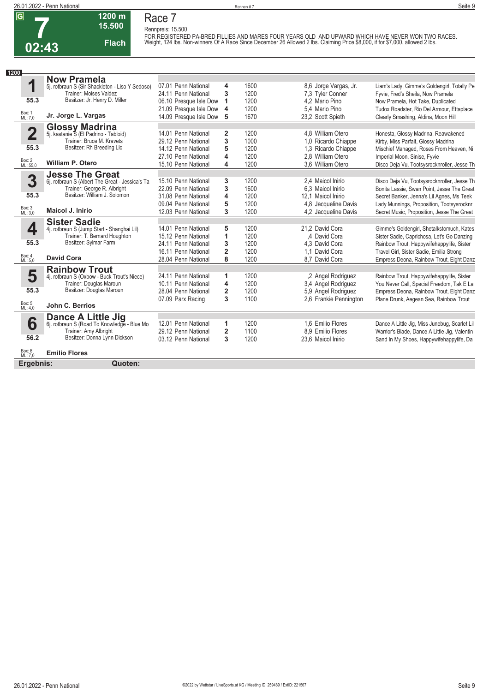

# **Race 7**

**15.500 Flach**

**1200 m**

Rennpreis: 15.500<br>FOR REGISTERED PA-BRED FILLIES AND MARES FOUR YEARS OLD AND UPWARD WHICH HAVE NEVER WON TWO RACES.<br>Weight, 124 Ibs. Non-winners Of A Race Since December 26 Allowed 2 Ibs. Claiming Price \$8,000, if for \$7

| 1200                    |                                                                |                        |                |      |                        |                                               |
|-------------------------|----------------------------------------------------------------|------------------------|----------------|------|------------------------|-----------------------------------------------|
|                         | <b>Now Pramela</b>                                             |                        |                |      |                        |                                               |
| 1                       | 5j. rotbraun S (Sir Shackleton - Liso Y Sedoso)                | 07.01 Penn National    | 4              | 1600 | 8,6 Jorge Vargas, Jr.  | Liam's Lady, Gimme's Goldengirl, Totally Pe   |
|                         | <b>Trainer: Moises Valdez</b>                                  | 24.11 Penn National    | 3              | 1200 | 7.3 Tyler Conner       | Fyvie, Fred's Sheila, Now Pramela             |
| 55.3                    | Besitzer: Jr. Henry D. Miller                                  | 06.10 Presque Isle Dow | 1              | 1200 | 4.2 Mario Pino         | Now Pramela, Hot Take, Duplicated             |
|                         |                                                                | 21.09 Presque Isle Dow | 4              | 1200 | 5,4 Mario Pino         | Tudox Roadster, Rio Del Armour, Ettaplace     |
| Box: 1<br>ML: 7,0       | Jr. Jorge L. Vargas                                            | 14.09 Presque Isle Dow | 5              | 1670 | 23,2 Scott Spieth      | Clearly Smashing, Aldina, Moon Hill           |
|                         |                                                                |                        |                |      |                        |                                               |
| $\overline{\mathbf{2}}$ | <b>Glossy Madrina</b><br>5j. kastanie S (El Padrino - Tabloid) | 14.01 Penn National    | 2              | 1200 | 4.8 William Otero      | Honesta, Glossy Madrina, Reawakened           |
|                         | Trainer: Bruce M. Kravets                                      | 29.12 Penn National    | 3              | 1000 | 1,0 Ricardo Chiappe    | Kirby, Miss Parfait, Glossy Madrina           |
| 55.3                    | Besitzer: Rh Breeding Llc                                      | 14.12 Penn National    | 5              | 1200 | 1,3 Ricardo Chiappe    | Mischief Managed, Roses From Heaven, Ni       |
|                         |                                                                | 27.10 Penn National    | 4              | 1200 | 2.8 William Otero      | Imperial Moon, Sinise, Fyvie                  |
| Box: 2<br>ML: 55,0      | <b>William P. Otero</b>                                        | 15.10 Penn National    | 4              | 1200 | 3.6 William Otero      | Disco Deja Vu, Tootsysrocknroller, Jesse Th   |
|                         | <b>Jesse The Great</b>                                         |                        |                |      |                        |                                               |
| 3                       | 6j. rotbraun S (Albert The Great - Jessica's Ta                | 15.10 Penn National    | 3              | 1200 | 2,4 Maicol Inirio      | Disco Deja Vu, Tootsysrocknroller, Jesse Th   |
|                         | Trainer: George R. Albright                                    | 22.09 Penn National    | 3              | 1600 | 6,3 Maicol Inirio      | Bonita Lassie, Swan Point, Jesse The Great    |
| 55.3                    | Besitzer: William J. Solomon                                   | 31.08 Penn National    | 4              | 1200 | 12.1 Maicol Inirio     | Secret Banker, Jenna's Lil Agnes, Ms Teek     |
|                         |                                                                | 09.04 Penn National    | 5              | 1200 | 4.8 Jacqueline Davis   | Lady Munnings, Proposition, Tootsysrocknr     |
| Box: 3<br>ML: 3,0       | <b>Maicol J. Inirio</b>                                        | 12.03 Penn National    | 3              | 1200 | 4.2 Jacqueline Davis   | Secret Music, Proposition, Jesse The Great    |
|                         | <b>Sister Sadie</b>                                            |                        |                |      |                        |                                               |
| 4                       | 4j. rotbraun S (Jump Start - Shanghai Lil)                     | 14.01 Penn National    | 5              | 1200 | 21,2 David Cora        | Gimme's Goldengirl, Shetalkstomuch, Kates     |
|                         | Trainer: T. Bernard Houghton                                   | 15.12 Penn National    | 1              | 1200 | .4 David Cora          | Sister Sadie, Caprichosa, Let's Go Danzing    |
| 55.3                    | Besitzer: Sylmar Farm                                          | 24.11 Penn National    | 3              | 1200 | 4.3 David Cora         | Rainbow Trout, Happywifehappylife, Sister     |
|                         |                                                                | 16.11 Penn National    | $\overline{2}$ | 1200 | 1.1 David Cora         | Travel Girl, Sister Sadie, Emilia Strong      |
| Box: 4<br>ML: 5,0       | <b>David Cora</b>                                              | 28.04 Penn National    | 8              | 1200 | 8.7 David Cora         | Empress Deona, Rainbow Trout, Eight Danz      |
|                         | <b>Rainbow Trout</b>                                           |                        |                |      |                        |                                               |
| 5                       | 4j. rotbraun S (Oxbow - Buck Trout's Niece)                    | 24.11 Penn National    | 1              | 1200 | ,2 Angel Rodriguez     | Rainbow Trout, Happywifehappylife, Sister     |
|                         | Trainer: Douglas Maroun                                        | 10.11 Penn National    | 4              | 1200 | 3.4 Angel Rodriguez    | You Never Call, Special Freedom, Tak E La     |
| 55.3                    | Besitzer: Douglas Maroun                                       | 28.04 Penn National    | $\overline{2}$ | 1200 | 5,9 Angel Rodriguez    | Empress Deona, Rainbow Trout, Eight Danz      |
|                         |                                                                | 07.09 Parx Racing      | 3              | 1100 | 2.6 Frankie Pennington | Plane Drunk, Aegean Sea, Rainbow Trout        |
| Box: 5<br>ML: 4,0       | John C. Berrios                                                |                        |                |      |                        |                                               |
|                         | <b>Dance A Little Jig</b>                                      |                        |                |      |                        |                                               |
| 6                       | 6j. rotbraun S (Road To Knowledge - Blue Mo                    | 12.01 Penn National    | 1              | 1200 | 1.6 Emilio Flores      | Dance A Little Jig, Miss Junebug, Scarlet Lil |
|                         | Trainer: Amy Albright                                          | 29.12 Penn National    | $\overline{2}$ | 1100 | 8.9 Emilio Flores      | Warrior's Blade, Dance A Little Jig, Valentin |
| 56.2                    | Besitzer: Donna Lynn Dickson                                   | 03.12 Penn National    | 3              | 1200 | 23.6 Maicol Inirio     | Sand In My Shoes, Happywifehappylife, Da      |
| Box: 6<br>ML: 7,0       | <b>Emilio Flores</b>                                           |                        |                |      |                        |                                               |
|                         |                                                                |                        |                |      |                        |                                               |
| Ergebnis:               | Quoten:                                                        |                        |                |      |                        |                                               |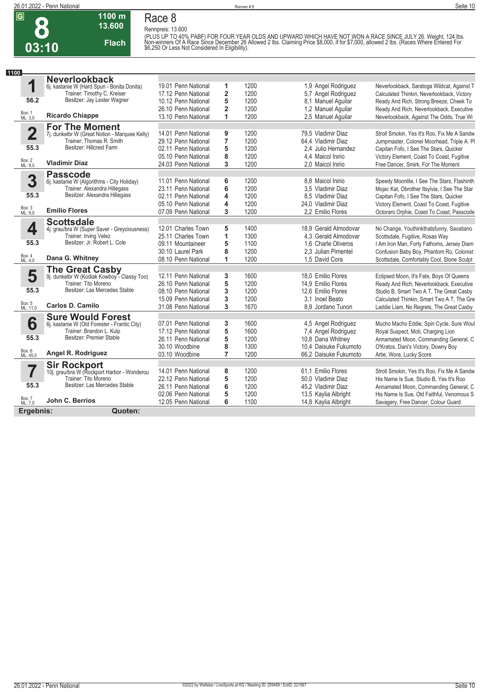## **8 03:10**

### **Race 8**

**Rennpreis: 13.600**



**1100 m**

(PLUS UP TO 40% PABF) FOR FOUR YEAR OLDS AND UPWARD WHICH HAVE NOT WON A RACE SINCE JULY 26. Weight, 124 lbs.<br>Non-winners Of A Race Since December 26 Allowed 2 lbs. Claiming Price \$8,000, if for \$7,000, allowed 2 lbs. (Rac

| 1100                    |                                                                |                     |                         |      |                       |                                              |
|-------------------------|----------------------------------------------------------------|---------------------|-------------------------|------|-----------------------|----------------------------------------------|
|                         | <b>Neverlookback</b>                                           |                     |                         |      |                       |                                              |
| 1                       | 6j. kastanie W (Hard Spun - Bonita Donita)                     | 19.01 Penn National | 1                       | 1200 | 1,9 Angel Rodriguez   | Neverlookback, Saratoga Wildcat, Against T   |
|                         | Trainer: Timothy C. Kreiser                                    | 17.12 Penn National | $\overline{\mathbf{2}}$ | 1200 | 5,7 Angel Rodriguez   | Calculated Thinkin, Neverlookback, Victory   |
| 56.2                    | Besitzer: Jay Lester Wagner                                    | 10.12 Penn National | 5                       | 1200 | 8.1 Manuel Aquilar    | Ready And Rich, Strong Breeze, Cheek To      |
|                         |                                                                | 26.10 Penn National | $\overline{2}$          | 1200 | 1,2 Manuel Aquilar    | Ready And Rich, Neverlookback, Executive     |
| Box: 1<br>ML: 3,0       | <b>Ricardo Chiappe</b>                                         | 13.10 Penn National | 1                       | 1200 | 2,5 Manuel Aquilar    | Neverlookback, Against The Odds, True Wi     |
|                         | <b>For The Moment</b>                                          |                     |                         |      |                       |                                              |
| $\overline{\mathbf{2}}$ | 7j. dunkelbr W (Great Notion - Marquee Kelly)                  | 14.01 Penn National | 9                       | 1200 | 79.5 Vladimir Diaz    | Stroll Smokin, Yes It's Roo, Fix Me A Sandw  |
|                         | Trainer: Thomas R. Smith                                       | 29.12 Penn National | $\overline{7}$          | 1200 | 64.4 Vladimir Diaz    | Jumpmaster, Colonel Moorhead, Triple A. Pl   |
| 55.3                    | Besitzer: Hillcrest Farm                                       | 02.11 Penn National | 5                       | 1200 | 2.4 Julio Hernandez   | Capitan Fofo, I See The Stars, Quicker       |
|                         |                                                                | 05.10 Penn National | 8                       | 1200 | 4,4 Maicol Inirio     | Victory Element, Coast To Coast, Fugitive    |
| Box: 2<br>ML: 9,0       | <b>Vladimir Diaz</b>                                           | 24.03 Penn National | 3                       | 1200 | 2.0 Maicol Inirio     | Free Dancer, Smirk, For The Moment           |
|                         | <b>Passcode</b>                                                |                     |                         |      |                       |                                              |
| 3                       | 6j. kastanie W (Algorithms - City Holiday)                     | 11.01 Penn National | 6                       | 1200 | 8.8 Maicol Inirio     | Speedy Moonlite, I See The Stars, Flashinth  |
|                         | Trainer: Alexandra Hillegass                                   | 23.11 Penn National | 6                       | 1200 | 3.5 Vladimir Diaz     | Mojac Kat, Obrother Itsylvia, I See The Star |
| 55.3                    | Besitzer: Alexandra Hillegass                                  | 02.11 Penn National | 4                       | 1200 | 8.5 Vladimir Diaz     | Capitan Fofo, I See The Stars, Quicker       |
|                         | <b>Emilio Flores</b>                                           | 05.10 Penn National | 4                       | 1200 | 24.0 Vladimir Diaz    | Victory Element, Coast To Coast, Fugitive    |
| Box: 3<br>ML: 9,0       |                                                                | 07.09 Penn National | 3                       | 1200 | 2.2 Emilio Flores     | Octoraro Orphie, Coast To Coast, Passcode    |
|                         | <b>Scottsdale</b>                                              |                     |                         |      |                       |                                              |
| 4                       | 4j. grau/bra W (Super Saver - Greyciousness)                   | 12.01 Charles Town  | 5                       | 1400 | 18,9 Gerald Almodovar | No Change, Youthinkthatsfunny, Savatiano     |
|                         | Trainer: Irving Velez                                          | 25.11 Charles Town  | 1                       | 1300 | 4.3 Gerald Almodovar  | Scottsdale, Fugitive, Rosas Way              |
| 55.3                    | Besitzer: Jr. Robert L. Cole                                   | 09.11 Mountaineer   | 5                       | 1100 | 1,6 Charle Oliveros   | I Am Iron Man, Forty Fathoms, Jersey Diam    |
| Box: 4                  |                                                                | 30.10 Laurel Park   | 8                       | 1200 | 2.3 Julian Pimentel   | Confusion Baby Boy, Phantom Ro, Colonist     |
| ML: 4,0                 | Dana G. Whitney                                                | 08.10 Penn National | 1                       | 1200 | 1.5 David Cora        | Scottsdale, Comfortably Cool, Stone Sculpt   |
|                         | The Great Casby<br>9j. dunkelbr W (Kodiak Kowboy - Classy Too) |                     |                         |      |                       |                                              |
| 5                       |                                                                | 12.11 Penn National | 3                       | 1600 | 18,0 Emilio Flores    | Eclipsed Moon, It's Fate, Boys Of Queens     |
|                         | Trainer: Tito Moreno<br>Besitzer: Las Mercedes Stable          | 26.10 Penn National | 5                       | 1200 | 14.9 Emilio Flores    | Ready And Rich, Neverlookback, Executive     |
| 55.3                    |                                                                | 08.10 Penn National | 3                       | 1200 | 12,6 Emilio Flores    | Studio B, Smart Two A T, The Great Casby     |
|                         | <b>Carlos D. Camilo</b>                                        | 15.09 Penn National | 3                       | 1200 | 3.1 Inoel Beato       | Calculated Thinkin, Smart Two A T, The Gre   |
| Box: 5<br>ML: 11,0      |                                                                | 31.08 Penn National | 3                       | 1670 | 8.9 Jordano Tunon     | Laddie Liam, No Regrets, The Great Casby     |
|                         | <b>Sure Would Forest</b>                                       |                     |                         |      |                       |                                              |
| 6                       | 6j. kastanie W (Old Forester - Frantic City)                   | 07.01 Penn National | 3                       | 1600 | 4,5 Angel Rodriguez   | Mucho Macho Eddie, Spin Cycle, Sure Woul     |
|                         | Trainer: Brandon L. Kulp<br>Besitzer: Premier Stable           | 17.12 Penn National | 5                       | 1600 | 7,4 Angel Rodriguez   | Royal Suspect, Moti, Charging Lion           |
| 55.3                    |                                                                | 26.11 Penn National | 5                       | 1200 | 10,8 Dana Whitney     | Annamated Moon, Commanding General, C        |
| Box: 6<br>ML: 45,0      | Angel R. Rodriguez                                             | 30.10 Woodbine      | 8                       | 1300 | 10,4 Daisuke Fukumoto | O'Kratos, Dani's Victory, Downy Boy          |
|                         |                                                                | 03.10 Woodbine      | 7                       | 1200 | 66.2 Daisuke Fukumoto | Artie, Wora, Lucky Score                     |
|                         | <b>Sir Rockport</b>                                            |                     |                         |      |                       |                                              |
|                         | 10j. grau/bra W (Rockport Harbor - Wonderou                    | 14.01 Penn National | 8                       | 1200 | 61.1 Emilio Flores    | Stroll Smokin, Yes It's Roo, Fix Me A Sandw  |
|                         | Trainer: Tito Moreno<br>Besitzer: Las Mercedes Stable          | 22.12 Penn National | 5                       | 1200 | 50,0 Vladimir Diaz    | His Name Is Sue, Studio B, Yes It's Roo      |
| 55.3                    |                                                                | 26.11 Penn National | 6                       | 1200 | 45,2 Vladimir Diaz    | Annamated Moon, Commanding General, C        |
| Box: 7<br>ML: 7,0       | John C. Berrios                                                | 02.06 Penn National | 5                       | 1200 | 13,5 Kaylia Albright  | His Name Is Sue, Old Faithful, Venomous S    |
|                         |                                                                | 12.05 Penn National | 6                       | 1100 | 14,8 Kaylia Albright  | Savagery, Free Dancer, Colour Guard          |
| Ergebnis:               | Quoten:                                                        |                     |                         |      |                       |                                              |